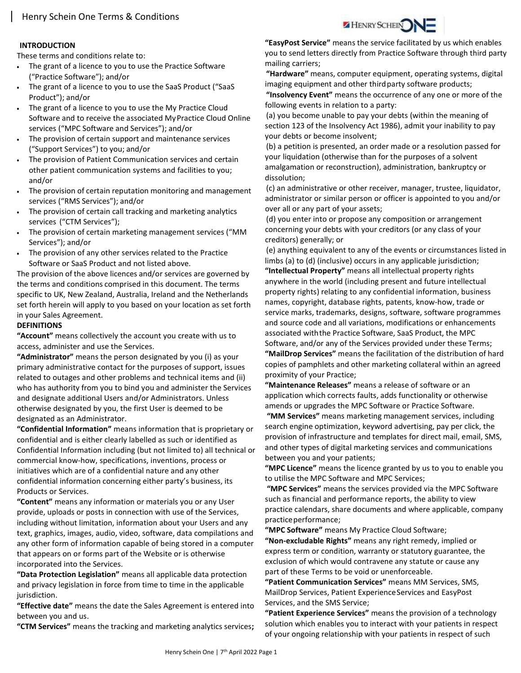## INTRODUCTION

These terms and conditions relate to:

- The grant of a licence to you to use the Practice Software ("Practice Software"); and/or
- The grant of a licence to you to use the SaaS Product ("SaaS Product"); and/or
- The grant of a licence to you to use the My Practice Cloud Software and to receive the associated My Practice Cloud Online services ("MPC Software and Services"); and/or
- The provision of certain support and maintenance services ("Support Services") to you; and/or
- The provision of Patient Communication services and certain other patient communication systems and facilities to you; and/or
- The provision of certain reputation monitoring and management services ("RMS Services"); and/or
- The provision of certain call tracking and marketing analytics services ("CTM Services");
- The provision of certain marketing management services ("MM Services"); and/or
- The provision of any other services related to the Practice Software or SaaS Product and not listed above.

The provision of the above licences and/or services are governed by the terms and conditions comprised in this document. The terms specific to UK, New Zealand, Australia, Ireland and the Netherlands set forth herein will apply to you based on your location as set forth in your Sales Agreement.

# **DEFINITIONS**

"Account" means collectively the account you create with us to access, administer and use the Services.

"Administrator" means the person designated by you (i) as your primary administrative contact for the purposes of support, issues related to outages and other problems and technical items and (ii) who has authority from you to bind you and administer the Services and designate additional Users and/or Administrators. Unless otherwise designated by you, the first User is deemed to be designated as an Administrator.

"Confidential Information" means information that is proprietary or confidential and is either clearly labelled as such or identified as Confidential Information including (but not limited to) all technical or commercial know-how, specifications, inventions, process or initiatives which are of a confidential nature and any other confidential information concerning either party's business, its Products or Services.

"Content" means any information or materials you or any User provide, uploads or posts in connection with use of the Services, including without limitation, information about your Users and any text, graphics, images, audio, video, software, data compilations and any other form of information capable of being stored in a computer that appears on or forms part of the Website or is otherwise incorporated into the Services.

"Data Protection Legislation" means all applicable data protection and privacy legislation in force from time to time in the applicable jurisdiction.

"Effective date" means the date the Sales Agreement is entered into between you and us.

"CTM Services" means the tracking and marketing analytics services;

"EasyPost Service" means the service facilitated by us which enables you to send letters directly from Practice Software through third party mailing carriers;

"Hardware" means, computer equipment, operating systems, digital imaging equipment and other third party software products;

"Insolvency Event" means the occurrence of any one or more of the following events in relation to a party:

(a) you become unable to pay your debts (within the meaning of section 123 of the Insolvency Act 1986), admit your inability to pay your debts or become insolvent;

(b) a petition is presented, an order made or a resolution passed for your liquidation (otherwise than for the purposes of a solvent amalgamation or reconstruction), administration, bankruptcy or dissolution;

(c) an administrative or other receiver, manager, trustee, liquidator, administrator or similar person or officer is appointed to you and/or over all or any part of your assets;

(d) you enter into or propose any composition or arrangement concerning your debts with your creditors (or any class of your creditors) generally; or

(e) anything equivalent to any of the events or circumstances listed in limbs (a) to (d) (inclusive) occurs in any applicable jurisdiction;

"Intellectual Property" means all intellectual property rights anywhere in the world (including present and future intellectual property rights) relating to any confidential information, business names, copyright, database rights, patents, know-how, trade or service marks, trademarks, designs, software, software programmes and source code and all variations, modifications or enhancements associated with the Practice Software, SaaS Product, the MPC Software, and/or any of the Services provided under these Terms; "MailDrop Services" means the facilitation of the distribution of hard copies of pamphlets and other marketing collateral within an agreed proximity of your Practice;

"Maintenance Releases" means a release of software or an application which corrects faults, adds functionality or otherwise amends or upgrades the MPC Software or Practice Software.

"MM Services" means marketing management services, including search engine optimization, keyword advertising, pay per click, the provision of infrastructure and templates for direct mail, email, SMS, and other types of digital marketing services and communications between you and your patients;

"MPC Licence" means the licence granted by us to you to enable you to utilise the MPC Software and MPC Services;

 "MPC Services" means the services provided via the MPC Software such as financial and performance reports, the ability to view practice calendars, share documents and where applicable, company practice performance;

"MPC Software" means My Practice Cloud Software;

"Non-excludable Rights" means any right remedy, implied or express term or condition, warranty or statutory guarantee, the exclusion of which would contravene any statute or cause any part of these Terms to be void or unenforceable.

"Patient Communication Services" means MM Services, SMS, MailDrop Services, Patient Experience Services and EasyPost Services, and the SMS Service;

"Patient Experience Services" means the provision of a technology solution which enables you to interact with your patients in respect of your ongoing relationship with your patients in respect of such

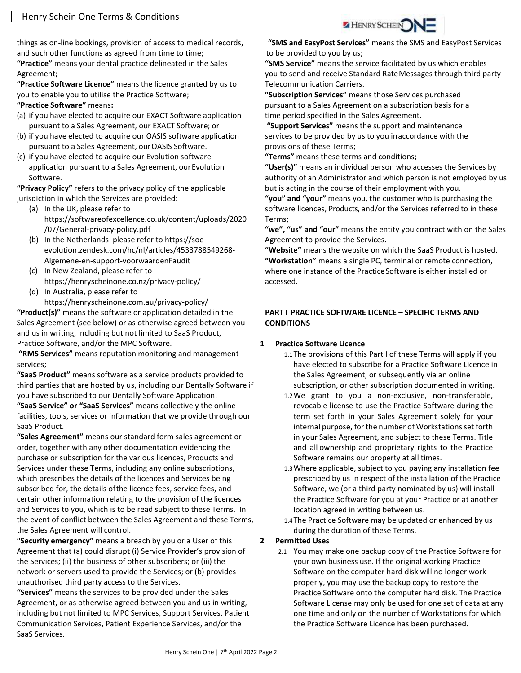things as on-line bookings, provision of access to medical records, and such other functions as agreed from time to time; "Practice" means your dental practice delineated in the Sales Agreement;

"Practice Software Licence" means the licence granted by us to you to enable you to utilise the Practice Software; "Practice Software" means:

- (a) if you have elected to acquire our EXACT Software application pursuant to a Sales Agreement, our EXACT Software; or
- (b) if you have elected to acquire our OASIS software application pursuant to a Sales Agreement, our OASIS Software.
- (c) if you have elected to acquire our Evolution software application pursuant to a Sales Agreement, our Evolution Software.

"Privacy Policy" refers to the privacy policy of the applicable jurisdiction in which the Services are provided:

- (a) In the UK, please refer to https://softwareofexcellence.co.uk/content/uploads/2020 /07/General-privacy-policy.pdf
- (b) In the Netherlands please refer to https://soeevolution.zendesk.com/hc/nl/articles/4533788549268- Algemene-en-support-voorwaardenFaudit
- (c) In New Zealand, please refer to https://henryscheinone.co.nz/privacy-policy/
- (d) In Australia, please refer to https://henryscheinone.com.au/privacy-policy/

"Product(s)" means the software or application detailed in the Sales Agreement (see below) or as otherwise agreed between you and us in writing, including but not limited to SaaS Product, Practice Software, and/or the MPC Software.

"RMS Services" means reputation monitoring and management services;

"SaaS Product" means software as a service products provided to third parties that are hosted by us, including our Dentally Software if you have subscribed to our Dentally Software Application.

"SaaS Service" or "SaaS Services" means collectively the online facilities, tools, services or information that we provide through our SaaS Product.

"Sales Agreement" means our standard form sales agreement or order, together with any other documentation evidencing the purchase or subscription for the various licences, Products and Services under these Terms, including any online subscriptions, which prescribes the details of the licences and Services being subscribed for, the details of the licence fees, service fees, and certain other information relating to the provision of the licences and Services to you, which is to be read subject to these Terms. In the event of conflict between the Sales Agreement and these Terms, the Sales Agreement will control.

"Security emergency" means a breach by you or a User of this Agreement that (a) could disrupt (i) Service Provider's provision of the Services; (ii) the business of other subscribers; or (iii) the network or servers used to provide the Services; or (b) provides unauthorised third party access to the Services.

"Services" means the services to be provided under the Sales Agreement, or as otherwise agreed between you and us in writing, including but not limited to MPC Services, Support Services, Patient Communication Services, Patient Experience Services, and/or the SaaS Services.



 "SMS and EasyPost Services" means the SMS and EasyPost Services to be provided to you by us;

"SMS Service" means the service facilitated by us which enables you to send and receive Standard Rate Messages through third party Telecommunication Carriers.

"Subscription Services" means those Services purchased pursuant to a Sales Agreement on a subscription basis for a time period specified in the Sales Agreement.

"Support Services" means the support and maintenance services to be provided by us to you in accordance with the provisions of these Terms;

"Terms" means these terms and conditions;

"User(s)" means an individual person who accesses the Services by authority of an Administrator and which person is not employed by us but is acting in the course of their employment with you.

"you" and "your" means you, the customer who is purchasing the software licences, Products, and/or the Services referred to in these Terms;

"we", "us" and "our" means the entity you contract with on the Sales Agreement to provide the Services.

"Website" means the website on which the SaaS Product is hosted. "Workstation" means a single PC, terminal or remote connection, where one instance of the Practice Software is either installed or accessed.

## PART I PRACTICE SOFTWARE LICENCE – SPECIFIC TERMS AND **CONDITIONS**

## 1 Practice Software Licence

- 1.1 The provisions of this Part I of these Terms will apply if you have elected to subscribe for a Practice Software Licence in the Sales Agreement, or subsequently via an online subscription, or other subscription documented in writing.
- 1.2We grant to you a non-exclusive, non-transferable, revocable license to use the Practice Software during the term set forth in your Sales Agreement solely for your internal purpose, for the number of Workstations set forth in your Sales Agreement, and subject to these Terms. Title and all ownership and proprietary rights to the Practice Software remains our property at all times.
- 1.3Where applicable, subject to you paying any installation fee prescribed by us in respect of the installation of the Practice Software, we (or a third party nominated by us) will install the Practice Software for you at your Practice or at another location agreed in writing between us.
- 1.4 The Practice Software may be updated or enhanced by us during the duration of these Terms.

## 2 Permitted Uses

2.1 You may make one backup copy of the Practice Software for your own business use. If the original working Practice Software on the computer hard disk will no longer work properly, you may use the backup copy to restore the Practice Software onto the computer hard disk. The Practice Software License may only be used for one set of data at any one time and only on the number of Workstations for which the Practice Software Licence has been purchased.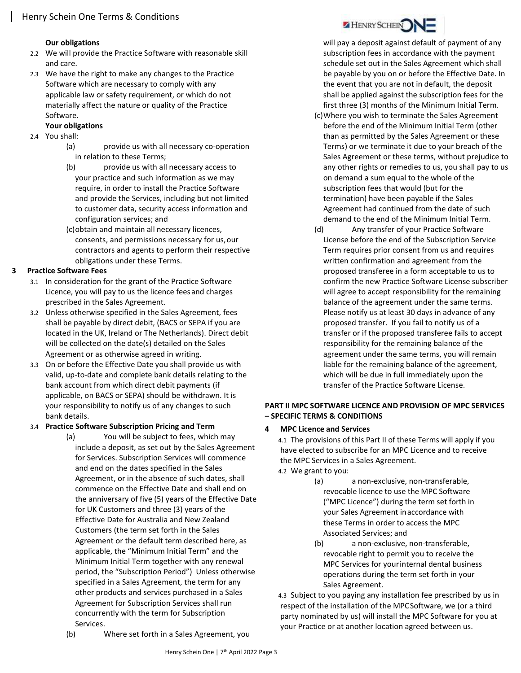### Our obligations

- 2.2 We will provide the Practice Software with reasonable skill and care.
- 2.3 We have the right to make any changes to the Practice Software which are necessary to comply with any applicable law or safety requirement, or which do not materially affect the nature or quality of the Practice Software.

# Your obligations

- 2.4 You shall:
	- (a) provide us with all necessary co-operation in relation to these Terms;
	- (b) provide us with all necessary access to your practice and such information as we may require, in order to install the Practice Software and provide the Services, including but not limited to customer data, security access information and configuration services; and
	- (c)obtain and maintain all necessary licences, consents, and permissions necessary for us, our contractors and agents to perform their respective obligations under these Terms.

## 3 Practice Software Fees

- 3.1 In consideration for the grant of the Practice Software Licence, you will pay to us the licence fees and charges prescribed in the Sales Agreement.
- 3.2 Unless otherwise specified in the Sales Agreement, fees shall be payable by direct debit, (BACS or SEPA if you are located in the UK, Ireland or The Netherlands). Direct debit will be collected on the date(s) detailed on the Sales Agreement or as otherwise agreed in writing.
- 3.3 On or before the Effective Date you shall provide us with valid, up-to-date and complete bank details relating to the bank account from which direct debit payments (if applicable, on BACS or SEPA) should be withdrawn. It is your responsibility to notify us of any changes to such bank details.

## 3.4 Practice Software Subscription Pricing and Term

(a) You will be subject to fees, which may include a deposit, as set out by the Sales Agreement for Services. Subscription Services will commence and end on the dates specified in the Sales Agreement, or in the absence of such dates, shall commence on the Effective Date and shall end on the anniversary of five (5) years of the Effective Date for UK Customers and three (3) years of the Effective Date for Australia and New Zealand Customers (the term set forth in the Sales Agreement or the default term described here, as applicable, the "Minimum Initial Term" and the Minimum Initial Term together with any renewal period, the "Subscription Period") Unless otherwise specified in a Sales Agreement, the term for any other products and services purchased in a Sales Agreement for Subscription Services shall run concurrently with the term for Subscription Services.



- on demand a sum equal to the whole of the subscription fees that would (but for the termination) have been payable if the Sales Agreement had continued from the date of such demand to the end of the Minimum Initial Term.
- (d) Any transfer of your Practice Software License before the end of the Subscription Service Term requires prior consent from us and requires written confirmation and agreement from the proposed transferee in a form acceptable to us to confirm the new Practice Software License subscriber will agree to accept responsibility for the remaining balance of the agreement under the same terms. Please notify us at least 30 days in advance of any proposed transfer. If you fail to notify us of a transfer or if the proposed transferee fails to accept responsibility for the remaining balance of the agreement under the same terms, you will remain liable for the remaining balance of the agreement, which will be due in full immediately upon the transfer of the Practice Software License.

## PART II MPC SOFTWARE LICENCE AND PROVISION OF MPC SERVICES – SPECIFIC TERMS & CONDITIONS

## 4 MPC Licence and Services

4.1 The provisions of this Part II of these Terms will apply if you have elected to subscribe for an MPC Licence and to receive the MPC Services in a Sales Agreement. 4.2 We grant to you:

- (a) a non-exclusive, non-transferable, revocable licence to use the MPC Software ("MPC Licence") during the term set forth in your Sales Agreement in accordance with these Terms in order to access the MPC Associated Services; and
- (b) a non-exclusive, non-transferable, revocable right to permit you to receive the MPC Services for your internal dental business operations during the term set forth in your Sales Agreement.

4.3 Subject to you paying any installation fee prescribed by us in respect of the installation of the MPC Software, we (or a third party nominated by us) will install the MPC Software for you at your Practice or at another location agreed between us.

(b) Where set forth in a Sales Agreement, you



will pay a deposit against default of payment of any subscription fees in accordance with the payment schedule set out in the Sales Agreement which shall be payable by you on or before the Effective Date. In the event that you are not in default, the deposit shall be applied against the subscription fees for the first three (3) months of the Minimum Initial Term. (c)Where you wish to terminate the Sales Agreement before the end of the Minimum Initial Term (other than as permitted by the Sales Agreement or these Terms) or we terminate it due to your breach of the Sales Agreement or these terms, without prejudice to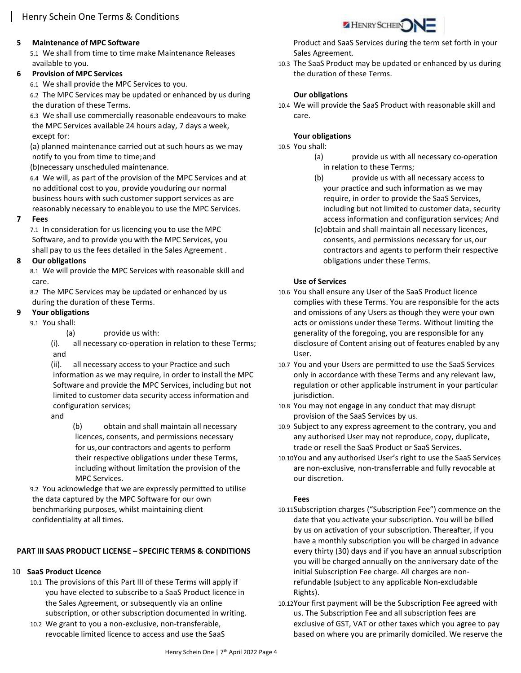## 5 Maintenance of MPC Software

5.1 We shall from time to time make Maintenance Releases available to you.

## 6 Provision of MPC Services

6.1 We shall provide the MPC Services to you.

6.2 The MPC Services may be updated or enhanced by us during the duration of these Terms.

6.3 We shall use commercially reasonable endeavours to make the MPC Services available 24 hours a day, 7 days a week, except for:

(a) planned maintenance carried out at such hours as we may notify to you from time to time; and

(b)necessary unscheduled maintenance.

6.4 We will, as part of the provision of the MPC Services and at no additional cost to you, provide you during our normal business hours with such customer support services as are reasonably necessary to enable you to use the MPC Services.

#### 7 Fees

7.1 In consideration for us licencing you to use the MPC Software, and to provide you with the MPC Services, you shall pay to us the fees detailed in the Sales Agreement .

#### 8 Our obligations

8.1 We will provide the MPC Services with reasonable skill and care.

8.2 The MPC Services may be updated or enhanced by us during the duration of these Terms.

## Your obligations

9.1 You shall:

(a) provide us with:

(i). all necessary co-operation in relation to these Terms; and

(ii). all necessary access to your Practice and such information as we may require, in order to install the MPC Software and provide the MPC Services, including but not limited to customer data security access information and configuration services;

and

(b) obtain and shall maintain all necessary licences, consents, and permissions necessary for us, our contractors and agents to perform their respective obligations under these Terms, including without limitation the provision of the MPC Services.

9.2 You acknowledge that we are expressly permitted to utilise the data captured by the MPC Software for our own benchmarking purposes, whilst maintaining client confidentiality at all times.

# PART III SAAS PRODUCT LICENSE – SPECIFIC TERMS & CONDITIONS

# 10 SaaS Product Licence

- 10.1 The provisions of this Part III of these Terms will apply if you have elected to subscribe to a SaaS Product licence in the Sales Agreement, or subsequently via an online subscription, or other subscription documented in writing.
- 10.2 We grant to you a non-exclusive, non-transferable, revocable limited licence to access and use the SaaS



Product and SaaS Services during the term set forth in your Sales Agreement.

10.3 The SaaS Product may be updated or enhanced by us during the duration of these Terms.

#### Our obligations

10.4 We will provide the SaaS Product with reasonable skill and care.

#### Your obligations

10.5 You shall:

- (a) provide us with all necessary co-operation in relation to these Terms;
- (b) provide us with all necessary access to your practice and such information as we may require, in order to provide the SaaS Services, including but not limited to customer data, security access information and configuration services; And
- (c)obtain and shall maintain all necessary licences, consents, and permissions necessary for us, our contractors and agents to perform their respective obligations under these Terms.

## Use of Services

- 10.6 You shall ensure any User of the SaaS Product licence complies with these Terms. You are responsible for the acts and omissions of any Users as though they were your own acts or omissions under these Terms. Without limiting the generality of the foregoing, you are responsible for any disclosure of Content arising out of features enabled by any User.
- 10.7 You and your Users are permitted to use the SaaS Services only in accordance with these Terms and any relevant law, regulation or other applicable instrument in your particular jurisdiction.
- 10.8 You may not engage in any conduct that may disrupt provision of the SaaS Services by us.
- 10.9 Subject to any express agreement to the contrary, you and any authorised User may not reproduce, copy, duplicate, trade or resell the SaaS Product or SaaS Services.
- 10.10You and any authorised User's right to use the SaaS Services are non-exclusive, non-transferrable and fully revocable at our discretion.

#### Fees

- 10.11Subscription charges ("Subscription Fee") commence on the date that you activate your subscription. You will be billed by us on activation of your subscription. Thereafter, if you have a monthly subscription you will be charged in advance every thirty (30) days and if you have an annual subscription you will be charged annually on the anniversary date of the initial Subscription Fee charge. All charges are nonrefundable (subject to any applicable Non-excludable Rights).
- 10.12Your first payment will be the Subscription Fee agreed with us. The Subscription Fee and all subscription fees are exclusive of GST, VAT or other taxes which you agree to pay based on where you are primarily domiciled. We reserve the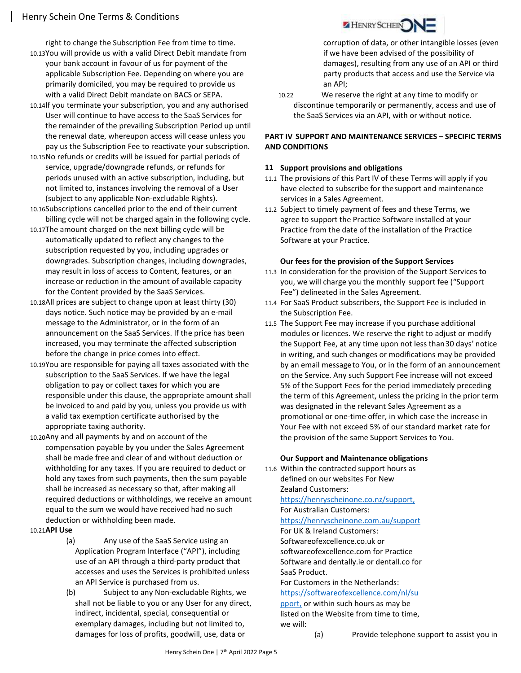right to change the Subscription Fee from time to time.

- 10.13You will provide us with a valid Direct Debit mandate from your bank account in favour of us for payment of the applicable Subscription Fee. Depending on where you are primarily domiciled, you may be required to provide us with a valid Direct Debit mandate on BACS or SEPA.
- 10.14If you terminate your subscription, you and any authorised User will continue to have access to the SaaS Services for the remainder of the prevailing Subscription Period up until the renewal date, whereupon access will cease unless you pay us the Subscription Fee to reactivate your subscription.
- 10.15No refunds or credits will be issued for partial periods of service, upgrade/downgrade refunds, or refunds for periods unused with an active subscription, including, but not limited to, instances involving the removal of a User (subject to any applicable Non-excludable Rights).
- 10.16Subscriptions cancelled prior to the end of their current billing cycle will not be charged again in the following cycle.
- 10.17The amount charged on the next billing cycle will be automatically updated to reflect any changes to the subscription requested by you, including upgrades or downgrades. Subscription changes, including downgrades, may result in loss of access to Content, features, or an increase or reduction in the amount of available capacity for the Content provided by the SaaS Services.
- 10.18All prices are subject to change upon at least thirty (30) days notice. Such notice may be provided by an e-mail message to the Administrator, or in the form of an announcement on the SaaS Services. If the price has been increased, you may terminate the affected subscription before the change in price comes into effect.
- 10.19You are responsible for paying all taxes associated with the subscription to the SaaS Services. If we have the legal obligation to pay or collect taxes for which you are responsible under this clause, the appropriate amount shall be invoiced to and paid by you, unless you provide us with a valid tax exemption certificate authorised by the appropriate taxing authority.
- 10.20Any and all payments by and on account of the compensation payable by you under the Sales Agreement shall be made free and clear of and without deduction or withholding for any taxes. If you are required to deduct or hold any taxes from such payments, then the sum payable shall be increased as necessary so that, after making all required deductions or withholdings, we receive an amount equal to the sum we would have received had no such deduction or withholding been made.

#### 10.21API Use

- (a) Any use of the SaaS Service using an Application Program Interface ("API"), including use of an API through a third-party product that accesses and uses the Services is prohibited unless an API Service is purchased from us.
- (b) Subject to any Non-excludable Rights, we shall not be liable to you or any User for any direct, indirect, incidental, special, consequential or exemplary damages, including but not limited to, damages for loss of profits, goodwill, use, data or



corruption of data, or other intangible losses (even if we have been advised of the possibility of damages), resulting from any use of an API or third party products that access and use the Service via an API;

10.22 We reserve the right at any time to modify or discontinue temporarily or permanently, access and use of the SaaS Services via an API, with or without notice.

## PART IV SUPPORT AND MAINTENANCE SERVICES – SPECIFIC TERMS AND CONDITIONS

#### 11 Support provisions and obligations

- 11.1 The provisions of this Part IV of these Terms will apply if you have elected to subscribe for the support and maintenance services in a Sales Agreement.
- 11.2 Subject to timely payment of fees and these Terms, we agree to support the Practice Software installed at your Practice from the date of the installation of the Practice Software at your Practice.

#### Our fees for the provision of the Support Services

- 11.3 In consideration for the provision of the Support Services to you, we will charge you the monthly support fee ("Support Fee") delineated in the Sales Agreement.
- 11.4 For SaaS Product subscribers, the Support Fee is included in the Subscription Fee.
- 11.5 The Support Fee may increase if you purchase additional modules or licences. We reserve the right to adjust or modify the Support Fee, at any time upon not less than 30 days' notice in writing, and such changes or modifications may be provided by an email message to You, or in the form of an announcement on the Service. Any such Support Fee increase will not exceed 5% of the Support Fees for the period immediately preceding the term of this Agreement, unless the pricing in the prior term was designated in the relevant Sales Agreement as a promotional or one-time offer, in which case the increase in Your Fee with not exceed 5% of our standard market rate for the provision of the same Support Services to You.

#### Our Support and Maintenance obligations

11.6 Within the contracted support hours as defined on our websites For New Zealand Customers: https://henryscheinone.co.nz/support, For Australian Customers: https://henryscheinone.com.au/support For UK & Ireland Customers: Softwareofexcellence.co.uk or softwareofexcellence.com for Practice Software and dentally.ie or dentall.co for SaaS Product. For Customers in the Netherlands:

## https://softwareofexcellence.com/nl/su pport, or within such hours as may be listed on the Website from time to time, we will:

(a) Provide telephone support to assist you in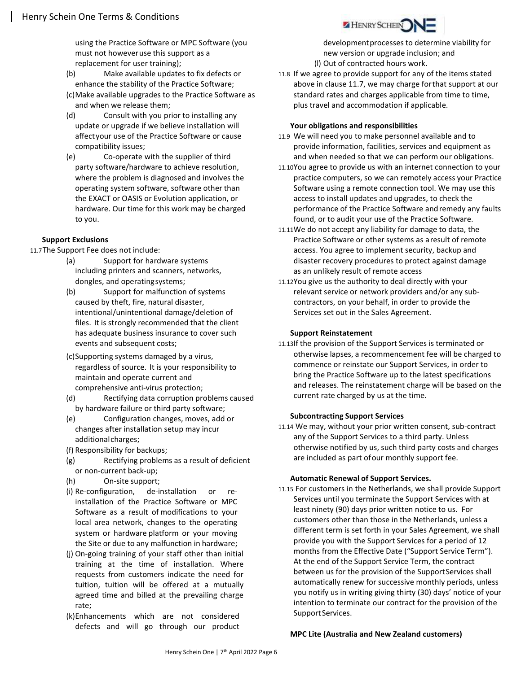using the Practice Software or MPC Software (you must not however use this support as a replacement for user training);

- (b) Make available updates to fix defects or enhance the stability of the Practice Software;
- (c)Make available upgrades to the Practice Software as and when we release them;
- (d) Consult with you prior to installing any update or upgrade if we believe installation will affect your use of the Practice Software or cause compatibility issues;
- (e) Co-operate with the supplier of third party software/hardware to achieve resolution, where the problem is diagnosed and involves the operating system software, software other than the EXACT or OASIS or Evolution application, or hardware. Our time for this work may be charged to you.

#### Support Exclusions

11.7The Support Fee does not include:

- (a) Support for hardware systems including printers and scanners, networks, dongles, and operating systems;
- (b) Support for malfunction of systems caused by theft, fire, natural disaster, intentional/unintentional damage/deletion of files. It is strongly recommended that the client has adequate business insurance to cover such events and subsequent costs;
- (c)Supporting systems damaged by a virus, regardless of source. It is your responsibility to maintain and operate current and comprehensive anti-virus protection;
- (d) Rectifying data corruption problems caused by hardware failure or third party software;
- (e) Configuration changes, moves, add or changes after installation setup may incur additional charges;
- (f) Responsibility for backups;
- (g) Rectifying problems as a result of deficient or non-current back-up;
- (h) On-site support;
- (i) Re-configuration, de-installation or reinstallation of the Practice Software or MPC Software as a result of modifications to your local area network, changes to the operating system or hardware platform or your moving the Site or due to any malfunction in hardware;
- (j) On-going training of your staff other than initial training at the time of installation. Where requests from customers indicate the need for tuition, tuition will be offered at a mutually agreed time and billed at the prevailing charge rate;
- (k)Enhancements which are not considered defects and will go through our product

development processes to determine viability for new version or upgrade inclusion; and (l) Out of contracted hours work.

11.8 If we agree to provide support for any of the items stated above in clause 11.7, we may charge for that support at our standard rates and charges applicable from time to time, plus travel and accommodation if applicable.

**HENRY SCHEIN** 

#### Your obligations and responsibilities

- 11.9 We will need you to make personnel available and to provide information, facilities, services and equipment as and when needed so that we can perform our obligations.
- 11.10You agree to provide us with an internet connection to your practice computers, so we can remotely access your Practice Software using a remote connection tool. We may use this access to install updates and upgrades, to check the performance of the Practice Software and remedy any faults found, or to audit your use of the Practice Software.
- 11.11We do not accept any liability for damage to data, the Practice Software or other systems as a result of remote access. You agree to implement security, backup and disaster recovery procedures to protect against damage as an unlikely result of remote access
- 11.12You give us the authority to deal directly with your relevant service or network providers and/or any subcontractors, on your behalf, in order to provide the Services set out in the Sales Agreement.

### Support Reinstatement

11.13If the provision of the Support Services is terminated or otherwise lapses, a recommencement fee will be charged to commence or reinstate our Support Services, in order to bring the Practice Software up to the latest specifications and releases. The reinstatement charge will be based on the current rate charged by us at the time.

#### Subcontracting Support Services

11.14 We may, without your prior written consent, sub-contract any of the Support Services to a third party. Unless otherwise notified by us, such third party costs and charges are included as part of our monthly support fee.

#### Automatic Renewal of Support Services.

11.15 For customers in the Netherlands, we shall provide Support Services until you terminate the Support Services with at least ninety (90) days prior written notice to us. For customers other than those in the Netherlands, unless a different term is set forth in your Sales Agreement, we shall provide you with the Support Services for a period of 12 months from the Effective Date ("Support Service Term"). At the end of the Support Service Term, the contract between us for the provision of the Support Services shall automatically renew for successive monthly periods, unless you notify us in writing giving thirty (30) days' notice of your intention to terminate our contract for the provision of the Support Services.

#### MPC Lite (Australia and New Zealand customers)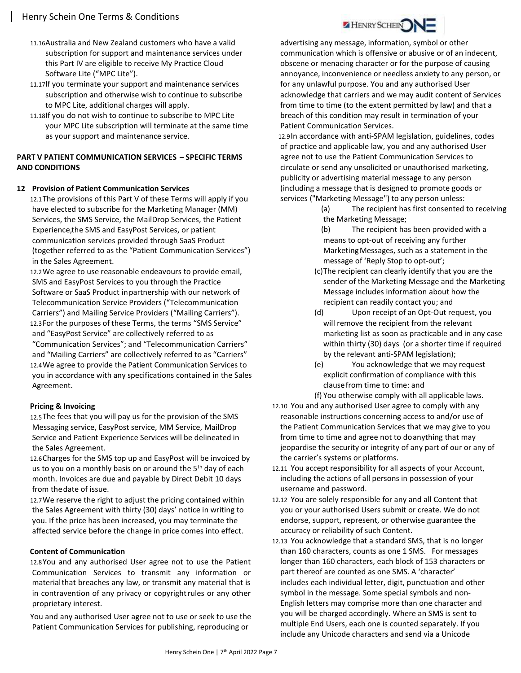- 11.16Australia and New Zealand customers who have a valid subscription for support and maintenance services under this Part IV are eligible to receive My Practice Cloud Software Lite ("MPC Lite").
- 11.17If you terminate your support and maintenance services subscription and otherwise wish to continue to subscribe to MPC Lite, additional charges will apply.
- 11.18If you do not wish to continue to subscribe to MPC Lite your MPC Lite subscription will terminate at the same time as your support and maintenance service.

## PART V PATIENT COMMUNICATION SERVICES – SPECIFIC TERMS AND CONDITIONS

#### 12 Provision of Patient Communication Services

12.1The provisions of this Part V of these Terms will apply if you have elected to subscribe for the Marketing Manager (MM) Services, the SMS Service, the MailDrop Services, the Patient Experience, the SMS and EasyPost Services, or patient communication services provided through SaaS Product (together referred to as the "Patient Communication Services") in the Sales Agreement.

12.2We agree to use reasonable endeavours to provide email, SMS and EasyPost Services to you through the Practice Software or SaaS Product in partnership with our network of Telecommunication Service Providers ("Telecommunication Carriers") and Mailing Service Providers ("Mailing Carriers"). 12.3For the purposes of these Terms, the terms "SMS Service" and "EasyPost Service" are collectively referred to as "Communication Services"; and "Telecommunication Carriers" and "Mailing Carriers" are collectively referred to as "Carriers" 12.4We agree to provide the Patient Communication Services to you in accordance with any specifications contained in the Sales Agreement.

#### Pricing & Invoicing

12.5The fees that you will pay us for the provision of the SMS Messaging service, EasyPost service, MM Service, MailDrop Service and Patient Experience Services will be delineated in the Sales Agreement.

12.6Charges for the SMS top up and EasyPost will be invoiced by us to you on a monthly basis on or around the  $5<sup>th</sup>$  day of each month. Invoices are due and payable by Direct Debit 10 days from the date of issue.

12.7We reserve the right to adjust the pricing contained within the Sales Agreement with thirty (30) days' notice in writing to you. If the price has been increased, you may terminate the affected service before the change in price comes into effect.

#### Content of Communication

12.8You and any authorised User agree not to use the Patient Communication Services to transmit any information or material that breaches any law, or transmit any material that is in contravention of any privacy or copyright rules or any other proprietary interest.

You and any authorised User agree not to use or seek to use the Patient Communication Services for publishing, reproducing or

advertising any message, information, symbol or other communication which is offensive or abusive or of an indecent, obscene or menacing character or for the purpose of causing annoyance, inconvenience or needless anxiety to any person, or for any unlawful purpose. You and any authorised User acknowledge that carriers and we may audit content of Services from time to time (to the extent permitted by law) and that a breach of this condition may result in termination of your Patient Communication Services.

12.9In accordance with anti-SPAM legislation, guidelines, codes of practice and applicable law, you and any authorised User agree not to use the Patient Communication Services to circulate or send any unsolicited or unauthorised marketing, publicity or advertising material message to any person (including a message that is designed to promote goods or services ("Marketing Message") to any person unless:

- (a) The recipient has first consented to receiving the Marketing Message;
- (b) The recipient has been provided with a means to opt-out of receiving any further Marketing Messages, such as a statement in the message of 'Reply Stop to opt-out';
- (c)The recipient can clearly identify that you are the sender of the Marketing Message and the Marketing Message includes information about how the recipient can readily contact you; and
- (d) Upon receipt of an Opt-Out request, you will remove the recipient from the relevant marketing list as soon as practicable and in any case within thirty (30) days (or a shorter time if required by the relevant anti-SPAM legislation);
- (e) You acknowledge that we may request explicit confirmation of compliance with this clause from time to time: and

(f) You otherwise comply with all applicable laws.

- 12.10 You and any authorised User agree to comply with any reasonable instructions concerning access to and/or use of the Patient Communication Services that we may give to you from time to time and agree not to do anything that may jeopardise the security or integrity of any part of our or any of the carrier's systems or platforms.
- 12.11 You accept responsibility for all aspects of your Account, including the actions of all persons in possession of your username and password.
- 12.12 You are solely responsible for any and all Content that you or your authorised Users submit or create. We do not endorse, support, represent, or otherwise guarantee the accuracy or reliability of such Content.
- 12.13 You acknowledge that a standard SMS, that is no longer than 160 characters, counts as one 1 SMS. For messages longer than 160 characters, each block of 153 characters or part thereof are counted as one SMS. A 'character' includes each individual letter, digit, punctuation and other symbol in the message. Some special symbols and non-English letters may comprise more than one character and you will be charged accordingly. Where an SMS is sent to multiple End Users, each one is counted separately. If you include any Unicode characters and send via a Unicode

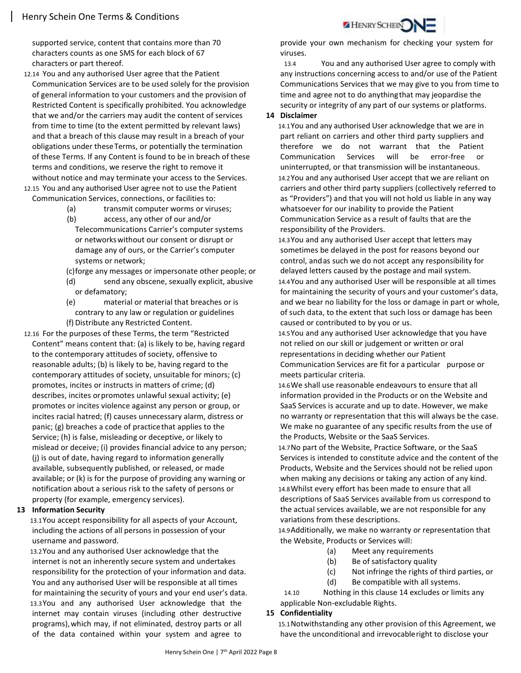supported service, content that contains more than 70 characters counts as one SMS for each block of 67 characters or part thereof.

- 12.14 You and any authorised User agree that the Patient Communication Services are to be used solely for the provision of general information to your customers and the provision of Restricted Content is specifically prohibited. You acknowledge that we and/or the carriers may audit the content of services from time to time (to the extent permitted by relevant laws) and that a breach of this clause may result in a breach of your obligations under these Terms, or potentially the termination of these Terms. If any Content is found to be in breach of these terms and conditions, we reserve the right to remove it without notice and may terminate your access to the Services. 12.15 You and any authorised User agree not to use the Patient
	- Communication Services, connections, or facilities to:
		- (a) transmit computer worms or viruses;
		- (b) access, any other of our and/or Telecommunications Carrier's computer systems or networks without our consent or disrupt or damage any of ours, or the Carrier's computer systems or network;
		- (c)forge any messages or impersonate other people; or
		- (d) send any obscene, sexually explicit, abusive or defamatory;
		- (e) material or material that breaches or is contrary to any law or regulation or guidelines (f) Distribute any Restricted Content.
- 12.16 For the purposes of these Terms, the term "Restricted Content" means content that: (a) is likely to be, having regard to the contemporary attitudes of society, offensive to reasonable adults; (b) is likely to be, having regard to the contemporary attitudes of society, unsuitable for minors; (c) promotes, incites or instructs in matters of crime; (d) describes, incites or promotes unlawful sexual activity; (e) promotes or incites violence against any person or group, or incites racial hatred; (f) causes unnecessary alarm, distress or panic; (g) breaches a code of practice that applies to the Service; (h) is false, misleading or deceptive, or likely to mislead or deceive; (i) provides financial advice to any person; (j) is out of date, having regard to information generally available, subsequently published, or released, or made available; or (k) is for the purpose of providing any warning or notification about a serious risk to the safety of persons or property (for example, emergency services).

#### 13 Information Security

13.1You accept responsibility for all aspects of your Account, including the actions of all persons in possession of your username and password.

13.2You and any authorised User acknowledge that the internet is not an inherently secure system and undertakes responsibility for the protection of your information and data. You and any authorised User will be responsible at all times for maintaining the security of yours and your end user's data. 13.3You and any authorised User acknowledge that the internet may contain viruses (including other destructive programs), which may, if not eliminated, destroy parts or all of the data contained within your system and agree to

provide your own mechanism for checking your system for viruses.

HENRY SCHEIN

13.4 You and any authorised User agree to comply with any instructions concerning access to and/or use of the Patient Communications Services that we may give to you from time to time and agree not to do anything that may jeopardise the security or integrity of any part of our systems or platforms.

### 14 Disclaimer

14.1You and any authorised User acknowledge that we are in part reliant on carriers and other third party suppliers and therefore we do not warrant that the Patient Communication Services will be error-free or uninterrupted, or that transmission will be instantaneous. 14.2You and any authorised User accept that we are reliant on carriers and other third party suppliers (collectively referred to as "Providers") and that you will not hold us liable in any way whatsoever for our inability to provide the Patient Communication Service as a result of faults that are the responsibility of the Providers.

14.3You and any authorised User accept that letters may sometimes be delayed in the post for reasons beyond our control, and as such we do not accept any responsibility for delayed letters caused by the postage and mail system.

14.4You and any authorised User will be responsible at all times for maintaining the security of yours and your customer's data, and we bear no liability for the loss or damage in part or whole, of such data, to the extent that such loss or damage has been caused or contributed to by you or us.

14.5You and any authorised User acknowledge that you have not relied on our skill or judgement or written or oral representations in deciding whether our Patient Communication Services are fit for a particular purpose or meets particular criteria.

14.6We shall use reasonable endeavours to ensure that all information provided in the Products or on the Website and SaaS Services is accurate and up to date. However, we make no warranty or representation that this will always be the case. We make no guarantee of any specific results from the use of the Products, Website or the SaaS Services.

14.7No part of the Website, Practice Software, or the SaaS Services is intended to constitute advice and the content of the Products, Website and the Services should not be relied upon when making any decisions or taking any action of any kind. 14.8Whilst every effort has been made to ensure that all descriptions of SaaS Services available from us correspond to the actual services available, we are not responsible for any variations from these descriptions.

14.9Additionally, we make no warranty or representation that the Website, Products or Services will:

- (a) Meet any requirements
- (b) Be of satisfactory quality
- (c) Not infringe the rights of third parties, or
- (d) Be compatible with all systems.

14.10 Nothing in this clause 14 excludes or limits any applicable Non-excludable Rights.

#### 15 Confidentiality

15.1Notwithstanding any other provision of this Agreement, we have the unconditional and irrevocable right to disclose your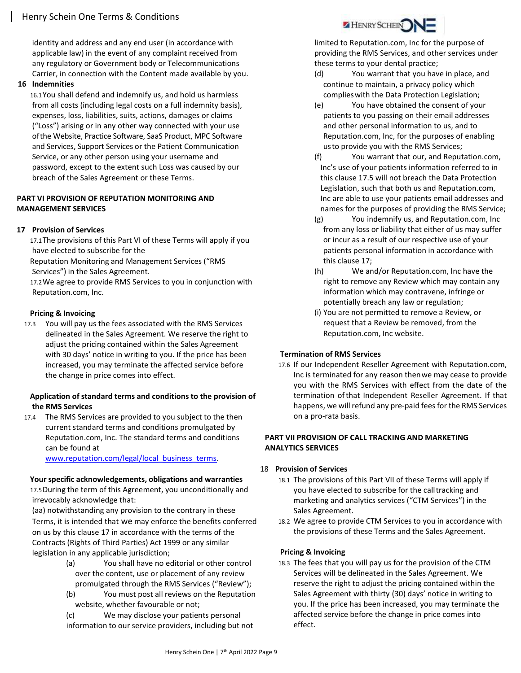identity and address and any end user (in accordance with applicable law) in the event of any complaint received from any regulatory or Government body or Telecommunications Carrier, in connection with the Content made available by you.

#### 16 Indemnities

16.1You shall defend and indemnify us, and hold us harmless from all costs (including legal costs on a full indemnity basis), expenses, loss, liabilities, suits, actions, damages or claims ("Loss") arising or in any other way connected with your use of the Website, Practice Software, SaaS Product, MPC Software and Services, Support Services or the Patient Communication Service, or any other person using your username and password, except to the extent such Loss was caused by our breach of the Sales Agreement or these Terms.

### PART VI PROVISION OF REPUTATION MONITORING AND MANAGEMENT SERVICES

## 17 Provision of Services

17.1The provisions of this Part VI of these Terms will apply if you have elected to subscribe for the

Reputation Monitoring and Management Services ("RMS Services") in the Sales Agreement.

17.2We agree to provide RMS Services to you in conjunction with Reputation.com, Inc.

#### Pricing & Invoicing

17.3 You will pay us the fees associated with the RMS Services delineated in the Sales Agreement. We reserve the right to adjust the pricing contained within the Sales Agreement with 30 days' notice in writing to you. If the price has been increased, you may terminate the affected service before the change in price comes into effect.

#### Application of standard terms and conditions to the provision of the RMS Services

17.4 The RMS Services are provided to you subject to the then current standard terms and conditions promulgated by Reputation.com, Inc. The standard terms and conditions can be found at

www.reputation.com/legal/local\_business\_terms.

#### Your specific acknowledgements, obligations and warranties

17.5During the term of this Agreement, you unconditionally and irrevocably acknowledge that:

(aa) notwithstanding any provision to the contrary in these Terms, it is intended that we may enforce the benefits conferred on us by this clause 17 in accordance with the terms of the Contracts (Rights of Third Parties) Act 1999 or any similar legislation in any applicable jurisdiction;

- (a) You shall have no editorial or other control over the content, use or placement of any review promulgated through the RMS Services ("Review");
- (b) You must post all reviews on the Reputation website, whether favourable or not;

(c) We may disclose your patients personal information to our service providers, including but not



limited to Reputation.com, Inc for the purpose of providing the RMS Services, and other services under these terms to your dental practice;

- (d) You warrant that you have in place, and continue to maintain, a privacy policy which complies with the Data Protection Legislation;
- (e) You have obtained the consent of your patients to you passing on their email addresses and other personal information to us, and to Reputation.com, Inc, for the purposes of enabling us to provide you with the RMS Services;
- (f) You warrant that our, and Reputation.com, Inc's use of your patients information referred to in this clause 17.5 will not breach the Data Protection Legislation, such that both us and Reputation.com, Inc are able to use your patients email addresses and names for the purposes of providing the RMS Service;
- (g) You indemnify us, and Reputation.com, Inc from any loss or liability that either of us may suffer or incur as a result of our respective use of your patients personal information in accordance with this clause 17;
- (h) We and/or Reputation.com, Inc have the right to remove any Review which may contain any information which may contravene, infringe or potentially breach any law or regulation;
- (i) You are not permitted to remove a Review, or request that a Review be removed, from the Reputation.com, Inc website.

#### Termination of RMS Services

17.6 If our Independent Reseller Agreement with Reputation.com, Inc is terminated for any reason then we may cease to provide you with the RMS Services with effect from the date of the termination of that Independent Reseller Agreement. If that happens, we will refund any pre-paid fees for the RMS Services on a pro-rata basis.

#### PART VII PROVISION OF CALL TRACKING AND MARKETING ANALYTICS SERVICES

- 18 Provision of Services
	- 18.1 The provisions of this Part VII of these Terms will apply if you have elected to subscribe for the call tracking and marketing and analytics services ("CTM Services") in the Sales Agreement.
	- 18.2 We agree to provide CTM Services to you in accordance with the provisions of these Terms and the Sales Agreement.

#### Pricing & Invoicing

18.3 The fees that you will pay us for the provision of the CTM Services will be delineated in the Sales Agreement. We reserve the right to adjust the pricing contained within the Sales Agreement with thirty (30) days' notice in writing to you. If the price has been increased, you may terminate the affected service before the change in price comes into effect.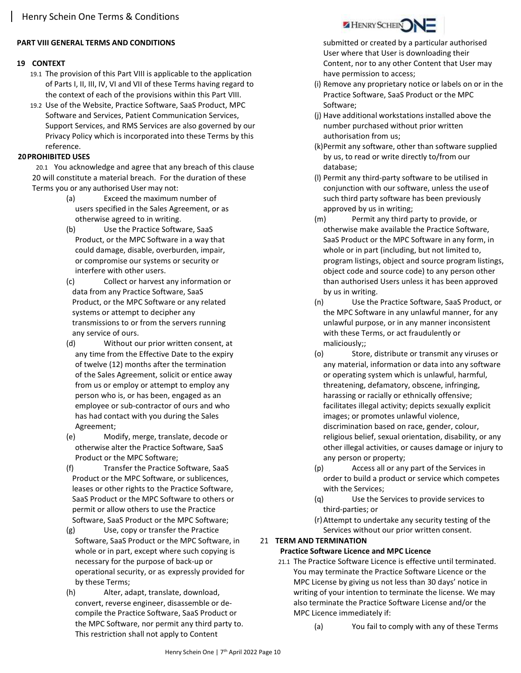## PART VIII GENERAL TERMS AND CONDITIONS

### 19 CONTEXT

- 19.1 The provision of this Part VIII is applicable to the application of Parts I, II, III, IV, VI and VII of these Terms having regard to the context of each of the provisions within this Part VIII.
- 19.2 Use of the Website, Practice Software, SaaS Product, MPC Software and Services, Patient Communication Services, Support Services, and RMS Services are also governed by our Privacy Policy which is incorporated into these Terms by this reference.

## 20PROHIBITED USES

20.1 You acknowledge and agree that any breach of this clause 20 will constitute a material breach. For the duration of these Terms you or any authorised User may not:

- (a) Exceed the maximum number of users specified in the Sales Agreement, or as otherwise agreed to in writing.
- (b) Use the Practice Software, SaaS Product, or the MPC Software in a way that could damage, disable, overburden, impair, or compromise our systems or security or interfere with other users.
- (c) Collect or harvest any information or data from any Practice Software, SaaS Product, or the MPC Software or any related systems or attempt to decipher any transmissions to or from the servers running any service of ours.
- (d) Without our prior written consent, at any time from the Effective Date to the expiry of twelve (12) months after the termination of the Sales Agreement, solicit or entice away from us or employ or attempt to employ any person who is, or has been, engaged as an employee or sub-contractor of ours and who has had contact with you during the Sales Agreement;
- (e) Modify, merge, translate, decode or otherwise alter the Practice Software, SaaS Product or the MPC Software;
- (f) Transfer the Practice Software, SaaS Product or the MPC Software, or sublicences, leases or other rights to the Practice Software, SaaS Product or the MPC Software to others or permit or allow others to use the Practice Software, SaaS Product or the MPC Software;
- (g) Use, copy or transfer the Practice Software, SaaS Product or the MPC Software, in whole or in part, except where such copying is necessary for the purpose of back-up or operational security, or as expressly provided for by these Terms;
- (h) Alter, adapt, translate, download, convert, reverse engineer, disassemble or decompile the Practice Software, SaaS Product or the MPC Software, nor permit any third party to. This restriction shall not apply to Content



submitted or created by a particular authorised User where that User is downloading their Content, nor to any other Content that User may have permission to access;

- (i) Remove any proprietary notice or labels on or in the Practice Software, SaaS Product or the MPC Software;
- (j) Have additional workstations installed above the number purchased without prior written authorisation from us;
- (k)Permit any software, other than software supplied by us, to read or write directly to/from our database;
- (l) Permit any third-party software to be utilised in conjunction with our software, unless the use of such third party software has been previously approved by us in writing;
- (m) Permit any third party to provide, or otherwise make available the Practice Software, SaaS Product or the MPC Software in any form, in whole or in part (including, but not limited to, program listings, object and source program listings, object code and source code) to any person other than authorised Users unless it has been approved by us in writing.
- (n) Use the Practice Software, SaaS Product, or the MPC Software in any unlawful manner, for any unlawful purpose, or in any manner inconsistent with these Terms, or act fraudulently or maliciously;;
- (o) Store, distribute or transmit any viruses or any material, information or data into any software or operating system which is unlawful, harmful, threatening, defamatory, obscene, infringing, harassing or racially or ethnically offensive; facilitates illegal activity; depicts sexually explicit images; or promotes unlawful violence, discrimination based on race, gender, colour, religious belief, sexual orientation, disability, or any other illegal activities, or causes damage or injury to any person or property;
- (p) Access all or any part of the Services in order to build a product or service which competes with the Services;
- (q) Use the Services to provide services to third-parties; or
- (r)Attempt to undertake any security testing of the Services without our prior written consent.

# 21 TERM AND TERMINATION

## Practice Software Licence and MPC Licence

- 21.1 The Practice Software Licence is effective until terminated. You may terminate the Practice Software Licence or the MPC License by giving us not less than 30 days' notice in writing of your intention to terminate the license. We may also terminate the Practice Software License and/or the MPC Licence immediately if:
	- (a) You fail to comply with any of these Terms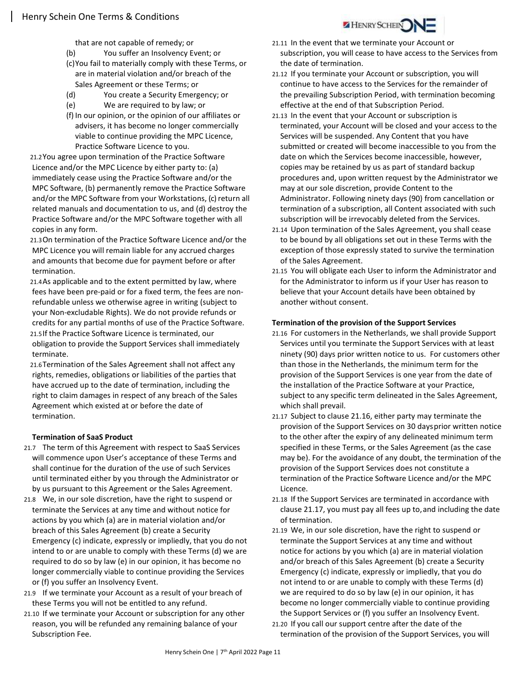that are not capable of remedy; or

- (b) You suffer an Insolvency Event; or
- (c)You fail to materially comply with these Terms, or are in material violation and/or breach of the Sales Agreement or these Terms; or
- (d) You create a Security Emergency; or
- (e) We are required to by law; or
- (f) In our opinion, or the opinion of our affiliates or advisers, it has become no longer commercially viable to continue providing the MPC Licence, Practice Software Licence to you.

21.2You agree upon termination of the Practice Software Licence and/or the MPC Licence by either party to: (a) immediately cease using the Practice Software and/or the MPC Software, (b) permanently remove the Practice Software and/or the MPC Software from your Workstations, (c) return all related manuals and documentation to us, and (d) destroy the Practice Software and/or the MPC Software together with all copies in any form.

- 21.3On termination of the Practice Software Licence and/or the MPC Licence you will remain liable for any accrued charges and amounts that become due for payment before or after termination.
- 21.4As applicable and to the extent permitted by law, where fees have been pre-paid or for a fixed term, the fees are nonrefundable unless we otherwise agree in writing (subject to your Non-excludable Rights). We do not provide refunds or credits for any partial months of use of the Practice Software. 21.5If the Practice Software Licence is terminated, our

obligation to provide the Support Services shall immediately terminate.

21.6Termination of the Sales Agreement shall not affect any rights, remedies, obligations or liabilities of the parties that have accrued up to the date of termination, including the right to claim damages in respect of any breach of the Sales Agreement which existed at or before the date of termination.

## Termination of SaaS Product

- 21.7 The term of this Agreement with respect to SaaS Services will commence upon User's acceptance of these Terms and shall continue for the duration of the use of such Services until terminated either by you through the Administrator or by us pursuant to this Agreement or the Sales Agreement.
- 21.8 We, in our sole discretion, have the right to suspend or terminate the Services at any time and without notice for actions by you which (a) are in material violation and/or breach of this Sales Agreement (b) create a Security Emergency (c) indicate, expressly or impliedly, that you do not intend to or are unable to comply with these Terms (d) we are required to do so by law (e) in our opinion, it has become no longer commercially viable to continue providing the Services or (f) you suffer an Insolvency Event.
- 21.9 If we terminate your Account as a result of your breach of these Terms you will not be entitled to any refund.
- 21.10 If we terminate your Account or subscription for any other reason, you will be refunded any remaining balance of your Subscription Fee.



HENRY SCHEIN

- 21.12 If you terminate your Account or subscription, you will continue to have access to the Services for the remainder of the prevailing Subscription Period, with termination becoming effective at the end of that Subscription Period.
- 21.13 In the event that your Account or subscription is terminated, your Account will be closed and your access to the Services will be suspended. Any Content that you have submitted or created will become inaccessible to you from the date on which the Services become inaccessible, however, copies may be retained by us as part of standard backup procedures and, upon written request by the Administrator we may at our sole discretion, provide Content to the Administrator. Following ninety days (90) from cancellation or termination of a subscription, all Content associated with such subscription will be irrevocably deleted from the Services.
- 21.14 Upon termination of the Sales Agreement, you shall cease to be bound by all obligations set out in these Terms with the exception of those expressly stated to survive the termination of the Sales Agreement.
- 21.15 You will obligate each User to inform the Administrator and for the Administrator to inform us if your User has reason to believe that your Account details have been obtained by another without consent.

#### Termination of the provision of the Support Services

- 21.16 For customers in the Netherlands, we shall provide Support Services until you terminate the Support Services with at least ninety (90) days prior written notice to us. For customers other than those in the Netherlands, the minimum term for the provision of the Support Services is one year from the date of the installation of the Practice Software at your Practice, subject to any specific term delineated in the Sales Agreement, which shall prevail.
- 21.17 Subject to clause 21.16, either party may terminate the provision of the Support Services on 30 days prior written notice to the other after the expiry of any delineated minimum term specified in these Terms, or the Sales Agreement (as the case may be). For the avoidance of any doubt, the termination of the provision of the Support Services does not constitute a termination of the Practice Software Licence and/or the MPC Licence.
- 21.18 If the Support Services are terminated in accordance with clause 21.17, you must pay all fees up to, and including the date of termination.
- 21.19 We, in our sole discretion, have the right to suspend or terminate the Support Services at any time and without notice for actions by you which (a) are in material violation and/or breach of this Sales Agreement (b) create a Security Emergency (c) indicate, expressly or impliedly, that you do not intend to or are unable to comply with these Terms (d) we are required to do so by law (e) in our opinion, it has become no longer commercially viable to continue providing the Support Services or (f) you suffer an Insolvency Event.
- 21.20 If you call our support centre after the date of the termination of the provision of the Support Services, you will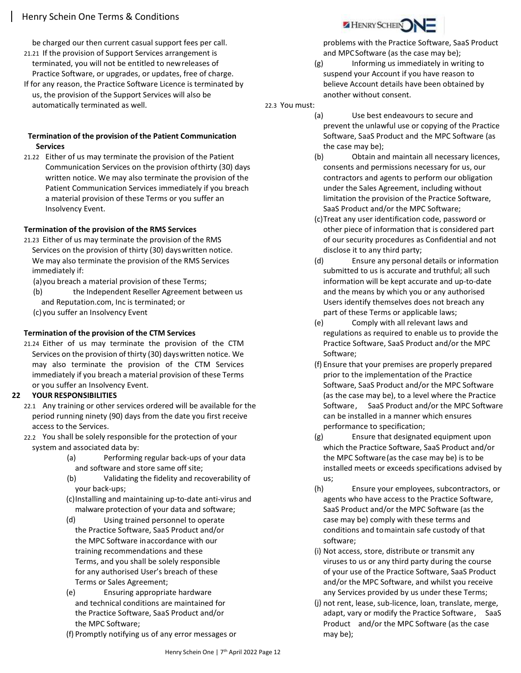be charged our then current casual support fees per call.

- 21.21 If the provision of Support Services arrangement is terminated, you will not be entitled to new releases of Practice Software, or upgrades, or updates, free of charge.
- If for any reason, the Practice Software Licence is terminated by us, the provision of the Support Services will also be automatically terminated as well.

## Termination of the provision of the Patient Communication **Services**

21.22 Either of us may terminate the provision of the Patient Communication Services on the provision of thirty (30) days written notice. We may also terminate the provision of the Patient Communication Services immediately if you breach a material provision of these Terms or you suffer an Insolvency Event.

# Termination of the provision of the RMS Services

- 21.23 Either of us may terminate the provision of the RMS Services on the provision of thirty (30) days written notice. We may also terminate the provision of the RMS Services immediately if:
	- (a)you breach a material provision of these Terms;
	- (b) the Independent Reseller Agreement between us and Reputation.com, Inc is terminated; or
	- (c)you suffer an Insolvency Event

# Termination of the provision of the CTM Services

21.24 Either of us may terminate the provision of the CTM Services on the provision of thirty (30) days written notice. We may also terminate the provision of the CTM Services immediately if you breach a material provision of these Terms or you suffer an Insolvency Event.

## 22 YOUR RESPONSIBILITIES

- 22.1 Any training or other services ordered will be available for the period running ninety (90) days from the date you first receive access to the Services.
- 22.2 You shall be solely responsible for the protection of your system and associated data by:
	- (a) Performing regular back-ups of your data and software and store same off site;
	- (b) Validating the fidelity and recoverability of your back-ups;
	- (c)Installing and maintaining up-to-date anti-virus and malware protection of your data and software;
	- (d) Using trained personnel to operate the Practice Software, SaaS Product and/or the MPC Software in accordance with our training recommendations and these Terms, and you shall be solely responsible for any authorised User's breach of these Terms or Sales Agreement;
	- (e) Ensuring appropriate hardware and technical conditions are maintained for the Practice Software, SaaS Product and/or the MPC Software;
	- (f) Promptly notifying us of any error messages or



problems with the Practice Software, SaaS Product and MPC Software (as the case may be);

(g) Informing us immediately in writing to suspend your Account if you have reason to believe Account details have been obtained by another without consent.

22.3 You must:

- (a) Use best endeavours to secure and prevent the unlawful use or copying of the Practice Software, SaaS Product and the MPC Software (as the case may be);
	- (b) Obtain and maintain all necessary licences, consents and permissions necessary for us, our contractors and agents to perform our obligation under the Sales Agreement, including without limitation the provision of the Practice Software, SaaS Product and/or the MPC Software;
	- (c)Treat any user identification code, password or other piece of information that is considered part of our security procedures as Confidential and not disclose it to any third party;
	- (d) Ensure any personal details or information submitted to us is accurate and truthful; all such information will be kept accurate and up-to-date and the means by which you or any authorised Users identify themselves does not breach any part of these Terms or applicable laws;
	- (e) Comply with all relevant laws and regulations as required to enable us to provide the Practice Software, SaaS Product and/or the MPC Software;
	- (f) Ensure that your premises are properly prepared prior to the implementation of the Practice Software, SaaS Product and/or the MPC Software (as the case may be), to a level where the Practice Software, SaaS Product and/or the MPC Software can be installed in a manner which ensures performance to specification;
	- (g) Ensure that designated equipment upon which the Practice Software, SaaS Product and/or the MPC Software (as the case may be) is to be installed meets or exceeds specifications advised by us;
	- (h) Ensure your employees, subcontractors, or agents who have access to the Practice Software, SaaS Product and/or the MPC Software (as the case may be) comply with these terms and conditions and to maintain safe custody of that software;
	- (i) Not access, store, distribute or transmit any viruses to us or any third party during the course of your use of the Practice Software, SaaS Product and/or the MPC Software, and whilst you receive any Services provided by us under these Terms;
	- (j) not rent, lease, sub-licence, loan, translate, merge, adapt, vary or modify the Practice Software , SaaS Product and/or the MPC Software (as the case may be);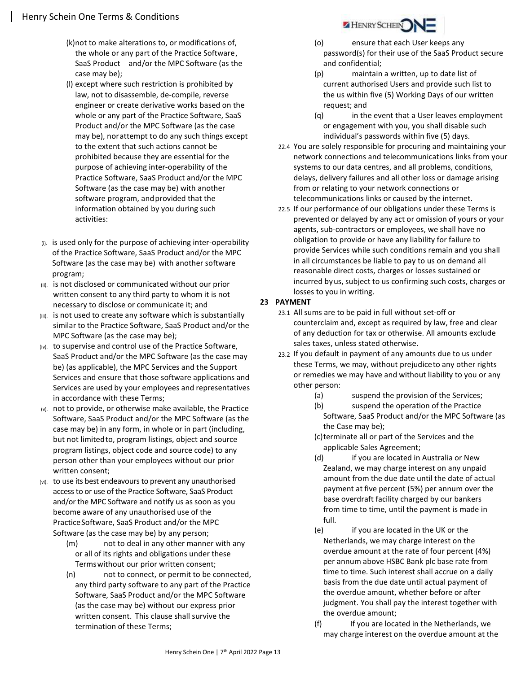- (k)not to make alterations to, or modifications of, the whole or any part of the Practice Software , SaaS Product and/or the MPC Software (as the case may be);
- (l) except where such restriction is prohibited by law, not to disassemble, de-compile, reverse engineer or create derivative works based on the whole or any part of the Practice Software, SaaS Product and/or the MPC Software (as the case may be), nor attempt to do any such things except to the extent that such actions cannot be prohibited because they are essential for the purpose of achieving inter-operability of the Practice Software, SaaS Product and/or the MPC Software (as the case may be) with another software program, and provided that the information obtained by you during such activities:
- (i). is used only for the purpose of achieving inter-operability of the Practice Software, SaaS Product and/or the MPC Software (as the case may be) with another software program;
- (ii). is not disclosed or communicated without our prior written consent to any third party to whom it is not necessary to disclose or communicate it; and
- (iii). is not used to create any software which is substantially similar to the Practice Software, SaaS Product and/or the MPC Software (as the case may be);
- (iv). to supervise and control use of the Practice Software, SaaS Product and/or the MPC Software (as the case may be) (as applicable), the MPC Services and the Support Services and ensure that those software applications and Services are used by your employees and representatives in accordance with these Terms;
- (v). not to provide, or otherwise make available, the Practice Software, SaaS Product and/or the MPC Software (as the case may be) in any form, in whole or in part (including, but not limited to, program listings, object and source program listings, object code and source code) to any person other than your employees without our prior written consent;
- (vi). to use its best endeavours to prevent any unauthorised access to or use of the Practice Software, SaaS Product and/or the MPC Software and notify us as soon as you become aware of any unauthorised use of the Practice Software, SaaS Product and/or the MPC Software (as the case may be) by any person;
	- (m) not to deal in any other manner with any or all of its rights and obligations under these Terms without our prior written consent;
	- (n) not to connect, or permit to be connected, any third party software to any part of the Practice Software, SaaS Product and/or the MPC Software (as the case may be) without our express prior written consent. This clause shall survive the termination of these Terms;



- (o) ensure that each User keeps any password(s) for their use of the SaaS Product secure and confidential;
- (p) maintain a written, up to date list of current authorised Users and provide such list to the us within five (5) Working Days of our written request; and
- (q) in the event that a User leaves employment or engagement with you, you shall disable such individual's passwords within five (5) days.
- 22.4 You are solely responsible for procuring and maintaining your network connections and telecommunications links from your systems to our data centres, and all problems, conditions, delays, delivery failures and all other loss or damage arising from or relating to your network connections or telecommunications links or caused by the internet.
- 22.5 If our performance of our obligations under these Terms is prevented or delayed by any act or omission of yours or your agents, sub-contractors or employees, we shall have no obligation to provide or have any liability for failure to provide Services while such conditions remain and you shall in all circumstances be liable to pay to us on demand all reasonable direct costs, charges or losses sustained or incurred by us, subject to us confirming such costs, charges or losses to you in writing.

## 23 PAYMENT

- 23.1 All sums are to be paid in full without set-off or counterclaim and, except as required by law, free and clear of any deduction for tax or otherwise. All amounts exclude sales taxes, unless stated otherwise.
- 23.2 If you default in payment of any amounts due to us under these Terms, we may, without prejudice to any other rights or remedies we may have and without liability to you or any other person:
	- (a) suspend the provision of the Services;
	- (b) suspend the operation of the Practice Software, SaaS Product and/or the MPC Software (as the Case may be);
	- (c)terminate all or part of the Services and the applicable Sales Agreement;
	- (d) if you are located in Australia or New Zealand, we may charge interest on any unpaid amount from the due date until the date of actual payment at five percent (5%) per annum over the base overdraft facility charged by our bankers from time to time, until the payment is made in full.
	- (e) if you are located in the UK or the Netherlands, we may charge interest on the overdue amount at the rate of four percent (4%) per annum above HSBC Bank plc base rate from time to time. Such interest shall accrue on a daily basis from the due date until actual payment of the overdue amount, whether before or after judgment. You shall pay the interest together with the overdue amount;
	- (f) If you are located in the Netherlands, we may charge interest on the overdue amount at the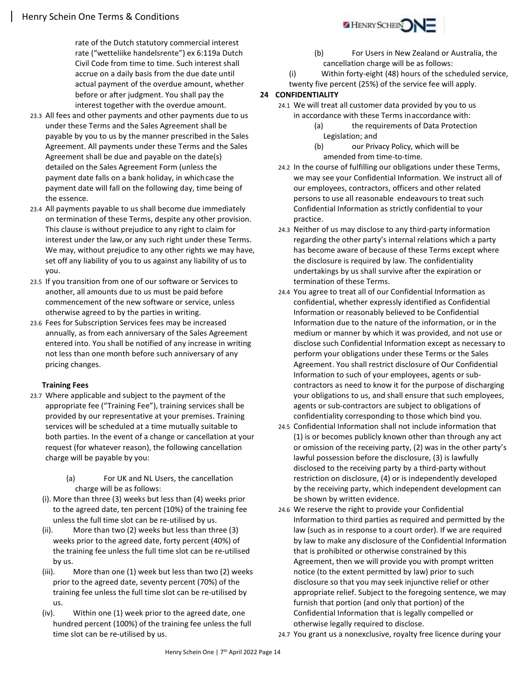rate of the Dutch statutory commercial interest rate ("wetteliike handelsrente") ex 6:119a Dutch Civil Code from time to time. Such interest shall accrue on a daily basis from the due date until actual payment of the overdue amount, whether before or after judgment. You shall pay the interest together with the overdue amount.

- 23.3 All fees and other payments and other payments due to us under these Terms and the Sales Agreement shall be payable by you to us by the manner prescribed in the Sales Agreement. All payments under these Terms and the Sales Agreement shall be due and payable on the date(s) detailed on the Sales Agreement Form (unless the payment date falls on a bank holiday, in which case the payment date will fall on the following day, time being of the essence.
- 23.4 All payments payable to us shall become due immediately on termination of these Terms, despite any other provision. This clause is without prejudice to any right to claim for interest under the law, or any such right under these Terms. We may, without prejudice to any other rights we may have, set off any liability of you to us against any liability of us to you.
- 23.5 If you transition from one of our software or Services to another, all amounts due to us must be paid before commencement of the new software or service, unless otherwise agreed to by the parties in writing.
- 23.6 Fees for Subscription Services fees may be increased annually, as from each anniversary of the Sales Agreement entered into. You shall be notified of any increase in writing not less than one month before such anniversary of any pricing changes.

#### Training Fees

- 23.7 Where applicable and subject to the payment of the appropriate fee ("Training Fee"), training services shall be provided by our representative at your premises. Training services will be scheduled at a time mutually suitable to both parties. In the event of a change or cancellation at your request (for whatever reason), the following cancellation charge will be payable by you:
	- (a) For UK and NL Users, the cancellation charge will be as follows:
	- (i). More than three (3) weeks but less than (4) weeks prior to the agreed date, ten percent (10%) of the training fee unless the full time slot can be re-utilised by us.
	- (ii). More than two (2) weeks but less than three (3) weeks prior to the agreed date, forty percent (40%) of the training fee unless the full time slot can be re-utilised by us.
	- (iii). More than one (1) week but less than two (2) weeks prior to the agreed date, seventy percent (70%) of the training fee unless the full time slot can be re-utilised by us.
	- (iv). Within one (1) week prior to the agreed date, one hundred percent (100%) of the training fee unless the full time slot can be re-utilised by us.



- (b) For Users in New Zealand or Australia, the cancellation charge will be as follows:
- (i) Within forty-eight (48) hours of the scheduled service,
- twenty five percent (25%) of the service fee will apply.

## 24 CONFIDENTIALITY

- 24.1 We will treat all customer data provided by you to us in accordance with these Terms in accordance with:
	- (a) the requirements of Data Protection Legislation; and
	- (b) our Privacy Policy, which will be amended from time-to-time.
- 24.2 In the course of fulfilling our obligations under these Terms, we may see your Confidential Information. We instruct all of our employees, contractors, officers and other related persons to use all reasonable endeavours to treat such Confidential Information as strictly confidential to your practice.
- 24.3 Neither of us may disclose to any third-party information regarding the other party's internal relations which a party has become aware of because of these Terms except where the disclosure is required by law. The confidentiality undertakings by us shall survive after the expiration or termination of these Terms.
- 24.4 You agree to treat all of our Confidential Information as confidential, whether expressly identified as Confidential Information or reasonably believed to be Confidential Information due to the nature of the information, or in the medium or manner by which it was provided, and not use or disclose such Confidential Information except as necessary to perform your obligations under these Terms or the Sales Agreement. You shall restrict disclosure of Our Confidential Information to such of your employees, agents or subcontractors as need to know it for the purpose of discharging your obligations to us, and shall ensure that such employees, agents or sub-contractors are subject to obligations of confidentiality corresponding to those which bind you.
- 24.5 Confidential Information shall not include information that (1) is or becomes publicly known other than through any act or omission of the receiving party, (2) was in the other party's lawful possession before the disclosure, (3) is lawfully disclosed to the receiving party by a third-party without restriction on disclosure, (4) or is independently developed by the receiving party, which independent development can be shown by written evidence.
- 24.6 We reserve the right to provide your Confidential Information to third parties as required and permitted by the law (such as in response to a court order). If we are required by law to make any disclosure of the Confidential Information that is prohibited or otherwise constrained by this Agreement, then we will provide you with prompt written notice (to the extent permitted by law) prior to such disclosure so that you may seek injunctive relief or other appropriate relief. Subject to the foregoing sentence, we may furnish that portion (and only that portion) of the Confidential Information that is legally compelled or otherwise legally required to disclose.
- 24.7 You grant us a nonexclusive, royalty free licence during your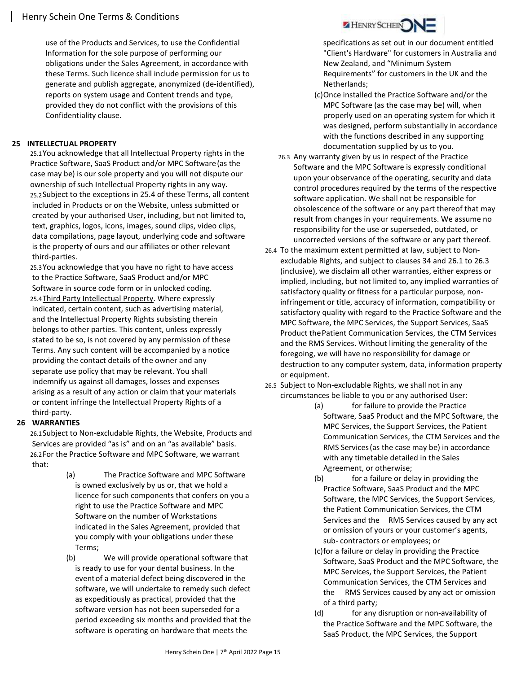use of the Products and Services, to use the Confidential Information for the sole purpose of performing our obligations under the Sales Agreement, in accordance with these Terms. Such licence shall include permission for us to generate and publish aggregate, anonymized (de-identified), reports on system usage and Content trends and type, provided they do not conflict with the provisions of this Confidentiality clause.

## 25 INTELLECTUAL PROPERTY

25.1You acknowledge that all Intellectual Property rights in the Practice Software, SaaS Product and/or MPC Software (as the case may be) is our sole property and you will not dispute our ownership of such Intellectual Property rights in any way. 25.2Subject to the exceptions in 25.4 of these Terms, all content included in Products or on the Website, unless submitted or created by your authorised User, including, but not limited to, text, graphics, logos, icons, images, sound clips, video clips, data compilations, page layout, underlying code and software is the property of ours and our affiliates or other relevant third-parties.

25.3You acknowledge that you have no right to have access to the Practice Software, SaaS Product and/or MPC Software in source code form or in unlocked coding. 25.4Third Party Intellectual Property. Where expressly indicated, certain content, such as advertising material, and the Intellectual Property Rights subsisting therein belongs to other parties. This content, unless expressly stated to be so, is not covered by any permission of these Terms. Any such content will be accompanied by a notice providing the contact details of the owner and any separate use policy that may be relevant. You shall indemnify us against all damages, losses and expenses arising as a result of any action or claim that your materials or content infringe the Intellectual Property Rights of a third-party.

## 26 WARRANTIES

26.1Subject to Non-excludable Rights, the Website, Products and Services are provided "as is" and on an "as available" basis. 26.2For the Practice Software and MPC Software, we warrant that:

- (a) The Practice Software and MPC Software is owned exclusively by us or, that we hold a licence for such components that confers on you a right to use the Practice Software and MPC Software on the number of Workstations indicated in the Sales Agreement, provided that you comply with your obligations under these Terms;
- (b) We will provide operational software that is ready to use for your dental business. In the event of a material defect being discovered in the software, we will undertake to remedy such defect as expeditiously as practical, provided that the software version has not been superseded for a period exceeding six months and provided that the software is operating on hardware that meets the



- specifications as set out in our document entitled "Client's Hardware" for customers in Australia and New Zealand, and "Minimum System Requirements" for customers in the UK and the Netherlands;
- (c)Once installed the Practice Software and/or the MPC Software (as the case may be) will, when properly used on an operating system for which it was designed, perform substantially in accordance with the functions described in any supporting documentation supplied by us to you.
- 26.3 Any warranty given by us in respect of the Practice Software and the MPC Software is expressly conditional upon your observance of the operating, security and data control procedures required by the terms of the respective software application. We shall not be responsible for obsolescence of the software or any part thereof that may result from changes in your requirements. We assume no responsibility for the use or superseded, outdated, or uncorrected versions of the software or any part thereof.
- 26.4 To the maximum extent permitted at law, subject to Nonexcludable Rights, and subject to clauses 34 and 26.1 to 26.3 (inclusive), we disclaim all other warranties, either express or implied, including, but not limited to, any implied warranties of satisfactory quality or fitness for a particular purpose, noninfringement or title, accuracy of information, compatibility or satisfactory quality with regard to the Practice Software and the MPC Software, the MPC Services, the Support Services, SaaS Product the Patient Communication Services, the CTM Services and the RMS Services. Without limiting the generality of the foregoing, we will have no responsibility for damage or destruction to any computer system, data, information property or equipment.
- 26.5 Subject to Non-excludable Rights, we shall not in any circumstances be liable to you or any authorised User:
	- (a) for failure to provide the Practice Software, SaaS Product and the MPC Software, the MPC Services, the Support Services, the Patient Communication Services, the CTM Services and the RMS Services (as the case may be) in accordance with any timetable detailed in the Sales Agreement, or otherwise;
	- (b) for a failure or delay in providing the Practice Software, SaaS Product and the MPC Software, the MPC Services, the Support Services, the Patient Communication Services, the CTM Services and the RMS Services caused by any act or omission of yours or your customer's agents, sub- contractors or employees; or
	- (c)for a failure or delay in providing the Practice Software, SaaS Product and the MPC Software, the MPC Services, the Support Services, the Patient Communication Services, the CTM Services and the RMS Services caused by any act or omission of a third party;
	- (d) for any disruption or non-availability of the Practice Software and the MPC Software, the SaaS Product, the MPC Services, the Support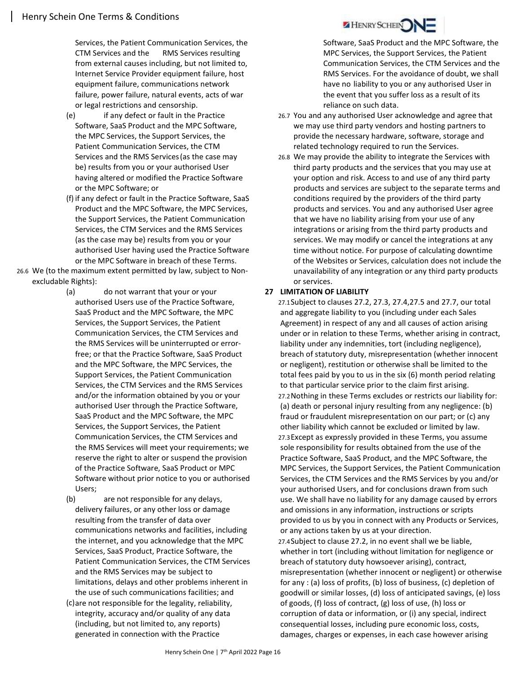Services, the Patient Communication Services, the CTM Services and the RMS Services resulting from external causes including, but not limited to, Internet Service Provider equipment failure, host equipment failure, communications network failure, power failure, natural events, acts of war or legal restrictions and censorship.

- (e) if any defect or fault in the Practice Software, SaaS Product and the MPC Software, the MPC Services, the Support Services, the Patient Communication Services, the CTM Services and the RMS Services (as the case may be) results from you or your authorised User having altered or modified the Practice Software or the MPC Software; or
- (f) if any defect or fault in the Practice Software, SaaS Product and the MPC Software, the MPC Services, the Support Services, the Patient Communication Services, the CTM Services and the RMS Services (as the case may be) results from you or your authorised User having used the Practice Software or the MPC Software in breach of these Terms.
- 26.6 We (to the maximum extent permitted by law, subject to Nonexcludable Rights):
	- (a) do not warrant that your or your authorised Users use of the Practice Software, SaaS Product and the MPC Software, the MPC Services, the Support Services, the Patient Communication Services, the CTM Services and the RMS Services will be uninterrupted or errorfree; or that the Practice Software, SaaS Product and the MPC Software, the MPC Services, the Support Services, the Patient Communication Services, the CTM Services and the RMS Services and/or the information obtained by you or your authorised User through the Practice Software, SaaS Product and the MPC Software, the MPC Services, the Support Services, the Patient Communication Services, the CTM Services and the RMS Services will meet your requirements; we reserve the right to alter or suspend the provision of the Practice Software, SaaS Product or MPC Software without prior notice to you or authorised Users;
	- (b) are not responsible for any delays, delivery failures, or any other loss or damage resulting from the transfer of data over communications networks and facilities, including the internet, and you acknowledge that the MPC Services, SaaS Product, Practice Software, the Patient Communication Services, the CTM Services and the RMS Services may be subject to limitations, delays and other problems inherent in the use of such communications facilities; and
	- (c)are not responsible for the legality, reliability, integrity, accuracy and/or quality of any data (including, but not limited to, any reports) generated in connection with the Practice

Software, SaaS Product and the MPC Software, the MPC Services, the Support Services, the Patient Communication Services, the CTM Services and the RMS Services. For the avoidance of doubt, we shall have no liability to you or any authorised User in the event that you suffer loss as a result of its reliance on such data.

- 26.7 You and any authorised User acknowledge and agree that we may use third party vendors and hosting partners to provide the necessary hardware, software, storage and related technology required to run the Services.
- 26.8 We may provide the ability to integrate the Services with third party products and the services that you may use at your option and risk. Access to and use of any third party products and services are subject to the separate terms and conditions required by the providers of the third party products and services. You and any authorised User agree that we have no liability arising from your use of any integrations or arising from the third party products and services. We may modify or cancel the integrations at any time without notice. For purpose of calculating downtime of the Websites or Services, calculation does not include the unavailability of any integration or any third party products or services.

# 27 LIMITATION OF LIABILITY

27.1Subject to clauses 27.2, 27.3, 27.4,27.5 and 27.7, our total and aggregate liability to you (including under each Sales Agreement) in respect of any and all causes of action arising under or in relation to these Terms, whether arising in contract, liability under any indemnities, tort (including negligence), breach of statutory duty, misrepresentation (whether innocent or negligent), restitution or otherwise shall be limited to the total fees paid by you to us in the six (6) month period relating to that particular service prior to the claim first arising. 27.2Nothing in these Terms excludes or restricts our liability for: (a) death or personal injury resulting from any negligence: (b) fraud or fraudulent misrepresentation on our part; or (c) any other liability which cannot be excluded or limited by law. 27.3Except as expressly provided in these Terms, you assume sole responsibility for results obtained from the use of the Practice Software, SaaS Product, and the MPC Software, the MPC Services, the Support Services, the Patient Communication Services, the CTM Services and the RMS Services by you and/or your authorised Users, and for conclusions drawn from such use. We shall have no liability for any damage caused by errors and omissions in any information, instructions or scripts provided to us by you in connect with any Products or Services, or any actions taken by us at your direction. 27.4Subject to clause 27.2, in no event shall we be liable, whether in tort (including without limitation for negligence or breach of statutory duty howsoever arising), contract, misrepresentation (whether innocent or negligent) or otherwise for any : (a) loss of profits, (b) loss of business, (c) depletion of goodwill or similar losses, (d) loss of anticipated savings, (e) loss of goods, (f) loss of contract, (g) loss of use, (h) loss or corruption of data or information, or (i) any special, indirect consequential losses, including pure economic loss, costs, damages, charges or expenses, in each case however arising

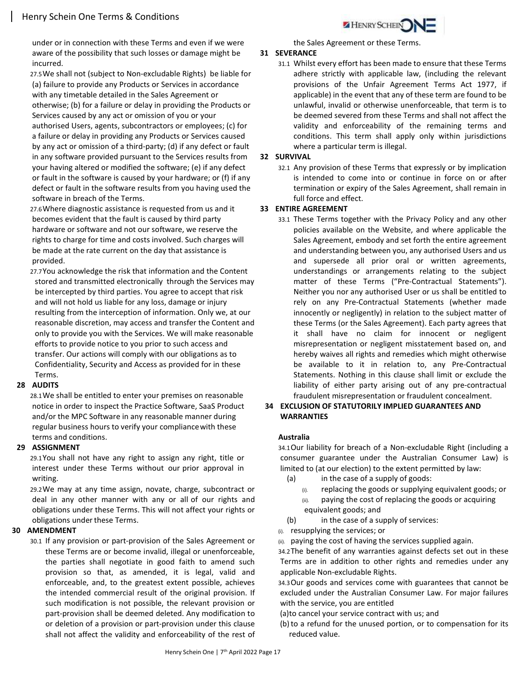under or in connection with these Terms and even if we were aware of the possibility that such losses or damage might be incurred.

- 27.5We shall not (subject to Non-excludable Rights) be liable for (a) failure to provide any Products or Services in accordance with any timetable detailed in the Sales Agreement or otherwise; (b) for a failure or delay in providing the Products or
- Services caused by any act or omission of you or your authorised Users, agents, subcontractors or employees; (c) for a failure or delay in providing any Products or Services caused by any act or omission of a third-party; (d) if any defect or fault in any software provided pursuant to the Services results from your having altered or modified the software; (e) if any defect or fault in the software is caused by your hardware; or (f) if any defect or fault in the software results from you having used the software in breach of the Terms.
- 27.6Where diagnostic assistance is requested from us and it becomes evident that the fault is caused by third party hardware or software and not our software, we reserve the rights to charge for time and costs involved. Such charges will be made at the rate current on the day that assistance is provided.
- 27.7You acknowledge the risk that information and the Content stored and transmitted electronically through the Services may be intercepted by third parties. You agree to accept that risk and will not hold us liable for any loss, damage or injury resulting from the interception of information. Only we, at our reasonable discretion, may access and transfer the Content and only to provide you with the Services. We will make reasonable efforts to provide notice to you prior to such access and transfer. Our actions will comply with our obligations as to Confidentiality, Security and Access as provided for in these Terms.

#### 28 AUDITS

28.1We shall be entitled to enter your premises on reasonable notice in order to inspect the Practice Software, SaaS Product and/or the MPC Software in any reasonable manner during regular business hours to verify your compliance with these terms and conditions.

#### 29 ASSIGNMENT

29.1You shall not have any right to assign any right, title or interest under these Terms without our prior approval in writing.

29.2We may at any time assign, novate, charge, subcontract or deal in any other manner with any or all of our rights and obligations under these Terms. This will not affect your rights or obligations under these Terms.

#### 30 AMENDMENT

30.1 If any provision or part-provision of the Sales Agreement or these Terms are or become invalid, illegal or unenforceable, the parties shall negotiate in good faith to amend such provision so that, as amended, it is legal, valid and enforceable, and, to the greatest extent possible, achieves the intended commercial result of the original provision. If such modification is not possible, the relevant provision or part-provision shall be deemed deleted. Any modification to or deletion of a provision or part-provision under this clause shall not affect the validity and enforceability of the rest of the Sales Agreement or these Terms.

#### 31 SEVERANCE

31.1 Whilst every effort has been made to ensure that these Terms adhere strictly with applicable law, (including the relevant provisions of the Unfair Agreement Terms Act 1977, if applicable) in the event that any of these term are found to be unlawful, invalid or otherwise unenforceable, that term is to be deemed severed from these Terms and shall not affect the validity and enforceability of the remaining terms and conditions. This term shall apply only within jurisdictions where a particular term is illegal.

### 32 SURVIVAL

32.1 Any provision of these Terms that expressly or by implication is intended to come into or continue in force on or after termination or expiry of the Sales Agreement, shall remain in full force and effect.

## 33 ENTIRE AGREEMENT

33.1 These Terms together with the Privacy Policy and any other policies available on the Website, and where applicable the Sales Agreement, embody and set forth the entire agreement and understanding between you, any authorised Users and us and supersede all prior oral or written agreements, understandings or arrangements relating to the subject matter of these Terms ("Pre-Contractual Statements"). Neither you nor any authorised User or us shall be entitled to rely on any Pre-Contractual Statements (whether made innocently or negligently) in relation to the subject matter of these Terms (or the Sales Agreement). Each party agrees that it shall have no claim for innocent or negligent misrepresentation or negligent misstatement based on, and hereby waives all rights and remedies which might otherwise be available to it in relation to, any Pre-Contractual Statements. Nothing in this clause shall limit or exclude the liability of either party arising out of any pre-contractual fraudulent misrepresentation or fraudulent concealment.

## 34 EXCLUSION OF STATUTORILY IMPLIED GUARANTEES AND WARRANTIES

#### Australia

34.1Our liability for breach of a Non-excludable Right (including a consumer guarantee under the Australian Consumer Law) is limited to (at our election) to the extent permitted by law:

- (a) in the case of a supply of goods:
	- (i). replacing the goods or supplying equivalent goods; or (ii). paying the cost of replacing the goods or acquiring
- equivalent goods; and (b) in the case of a supply of services:
- (i). resupplying the services; or
- (ii). paying the cost of having the services supplied again.

34.2The benefit of any warranties against defects set out in these Terms are in addition to other rights and remedies under any applicable Non-excludable Rights.

34.3Our goods and services come with guarantees that cannot be excluded under the Australian Consumer Law. For major failures with the service, you are entitled

(a)to cancel your service contract with us; and

(b) to a refund for the unused portion, or to compensation for its reduced value.

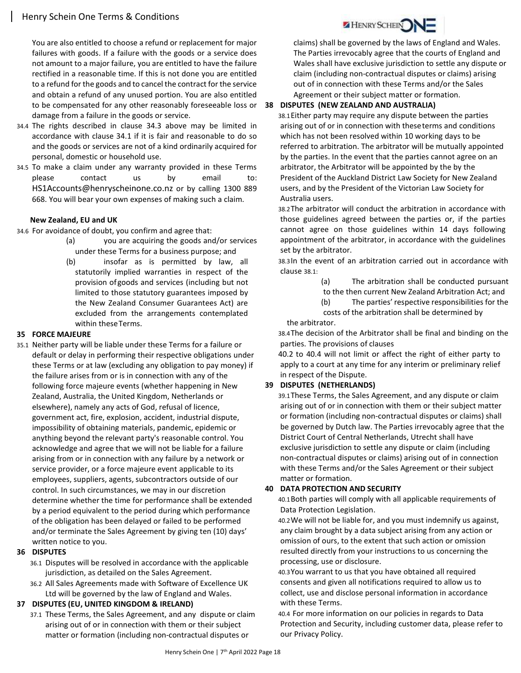You are also entitled to choose a refund or replacement for major failures with goods. If a failure with the goods or a service does not amount to a major failure, you are entitled to have the failure rectified in a reasonable time. If this is not done you are entitled to a refund for the goods and to cancel the contract for the service and obtain a refund of any unused portion. You are also entitled to be compensated for any other reasonably foreseeable loss or damage from a failure in the goods or service.

- 34.4 The rights described in clause 34.3 above may be limited in accordance with clause 34.1 if it is fair and reasonable to do so and the goods or services are not of a kind ordinarily acquired for personal, domestic or household use.
- 34.5 To make a claim under any warranty provided in these Terms please contact us by email to: HS1Accounts@henryscheinone.co.nz or by calling 1300 889 668. You will bear your own expenses of making such a claim.

#### New Zealand, EU and UK

34.6 For avoidance of doubt, you confirm and agree that:

- (a) you are acquiring the goods and/or services under these Terms for a business purpose; and
- (b) insofar as is permitted by law, all statutorily implied warranties in respect of the provision of goods and services (including but not limited to those statutory guarantees imposed by the New Zealand Consumer Guarantees Act) are excluded from the arrangements contemplated within these Terms.

#### 35 FORCE MAJEURE

35.1 Neither party will be liable under these Terms for a failure or default or delay in performing their respective obligations under these Terms or at law (excluding any obligation to pay money) if the failure arises from or is in connection with any of the following force majeure events (whether happening in New Zealand, Australia, the United Kingdom, Netherlands or elsewhere), namely any acts of God, refusal of licence, government act, fire, explosion, accident, industrial dispute, impossibility of obtaining materials, pandemic, epidemic or anything beyond the relevant party's reasonable control. You acknowledge and agree that we will not be liable for a failure arising from or in connection with any failure by a network or service provider, or a force majeure event applicable to its employees, suppliers, agents, subcontractors outside of our control. In such circumstances, we may in our discretion determine whether the time for performance shall be extended by a period equivalent to the period during which performance of the obligation has been delayed or failed to be performed and/or terminate the Sales Agreement by giving ten (10) days' written notice to you.

#### 36 DISPUTES

- 36.1 Disputes will be resolved in accordance with the applicable jurisdiction, as detailed on the Sales Agreement.
- 36.2 All Sales Agreements made with Software of Excellence UK Ltd will be governed by the law of England and Wales.

#### 37 DISPUTES (EU, UNITED KINGDOM & IRELAND)

37.1 These Terms, the Sales Agreement, and any dispute or claim arising out of or in connection with them or their subject matter or formation (including non-contractual disputes or



claims) shall be governed by the laws of England and Wales. The Parties irrevocably agree that the courts of England and Wales shall have exclusive jurisdiction to settle any dispute or claim (including non-contractual disputes or claims) arising out of in connection with these Terms and/or the Sales Agreement or their subject matter or formation.

## 38 DISPUTES (NEW ZEALAND AND AUSTRALIA)

38.1Either party may require any dispute between the parties arising out of or in connection with these terms and conditions which has not been resolved within 10 working days to be referred to arbitration. The arbitrator will be mutually appointed by the parties. In the event that the parties cannot agree on an arbitrator, the Arbitrator will be appointed by the by the President of the Auckland District Law Society for New Zealand users, and by the President of the Victorian Law Society for Australia users.

38.2The arbitrator will conduct the arbitration in accordance with those guidelines agreed between the parties or, if the parties cannot agree on those guidelines within 14 days following appointment of the arbitrator, in accordance with the guidelines set by the arbitrator.

38.3In the event of an arbitration carried out in accordance with clause 38.1:

- (a) The arbitration shall be conducted pursuant
- to the then current New Zealand Arbitration Act; and
- (b) The parties' respective responsibilities for the costs of the arbitration shall be determined by
- the arbitrator.

38.4The decision of the Arbitrator shall be final and binding on the parties. The provisions of clauses

40.2 to 40.4 will not limit or affect the right of either party to apply to a court at any time for any interim or preliminary relief in respect of the Dispute.

#### 39 DISPUTES (NETHERLANDS)

39.1These Terms, the Sales Agreement, and any dispute or claim arising out of or in connection with them or their subject matter or formation (including non-contractual disputes or claims) shall be governed by Dutch law. The Parties irrevocably agree that the District Court of Central Netherlands, Utrecht shall have exclusive jurisdiction to settle any dispute or claim (including non-contractual disputes or claims) arising out of in connection with these Terms and/or the Sales Agreement or their subject matter or formation.

#### 40 DATA PROTECTION AND SECURITY

40.1Both parties will comply with all applicable requirements of Data Protection Legislation.

40.2We will not be liable for, and you must indemnify us against, any claim brought by a data subject arising from any action or omission of ours, to the extent that such action or omission resulted directly from your instructions to us concerning the processing, use or disclosure.

40.3You warrant to us that you have obtained all required consents and given all notifications required to allow us to collect, use and disclose personal information in accordance with these Terms.

40.4 For more information on our policies in regards to Data Protection and Security, including customer data, please refer to our Privacy Policy.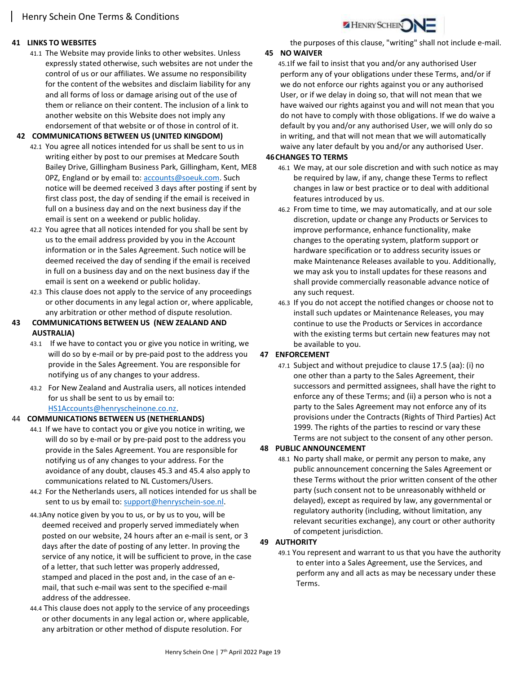## 41 LINKS TO WEBSITES

41.1 The Website may provide links to other websites. Unless expressly stated otherwise, such websites are not under the control of us or our affiliates. We assume no responsibility for the content of the websites and disclaim liability for any and all forms of loss or damage arising out of the use of them or reliance on their content. The inclusion of a link to another website on this Website does not imply any endorsement of that website or of those in control of it.

### 42 COMMUNICATIONS BETWEEN US (UNITED KINGDOM)

- 42.1 You agree all notices intended for us shall be sent to us in writing either by post to our premises at Medcare South Bailey Drive, Gillingham Business Park, Gillingham, Kent, ME8 0PZ, England or by email to: accounts@soeuk.com. Such notice will be deemed received 3 days after posting if sent by first class post, the day of sending if the email is received in full on a business day and on the next business day if the email is sent on a weekend or public holiday.
- 42.2 You agree that all notices intended for you shall be sent by us to the email address provided by you in the Account information or in the Sales Agreement. Such notice will be deemed received the day of sending if the email is received in full on a business day and on the next business day if the email is sent on a weekend or public holiday.
- 42.3 This clause does not apply to the service of any proceedings or other documents in any legal action or, where applicable, any arbitration or other method of dispute resolution.
- 43 COMMUNICATIONS BETWEEN US (NEW ZEALAND AND AUSTRALIA)
	- 43.1 If we have to contact you or give you notice in writing, we will do so by e-mail or by pre-paid post to the address you provide in the Sales Agreement. You are responsible for notifying us of any changes to your address.
	- 43.2 For New Zealand and Australia users, all notices intended for us shall be sent to us by email to: HS1Accounts@henryscheinone.co.nz.

#### 44 COMMUNICATIONS BETWEEN US (NETHERLANDS)

- 44.1 If we have to contact you or give you notice in writing, we will do so by e-mail or by pre-paid post to the address you provide in the Sales Agreement. You are responsible for notifying us of any changes to your address. For the avoidance of any doubt, clauses 45.3 and 45.4 also apply to communications related to NL Customers/Users.
- 44.2 For the Netherlands users, all notices intended for us shall be sent to us by email to: support@henryschein-soe.nl.
- 44.3Any notice given by you to us, or by us to you, will be deemed received and properly served immediately when posted on our website, 24 hours after an e-mail is sent, or 3 days after the date of posting of any letter. In proving the service of any notice, it will be sufficient to prove, in the case of a letter, that such letter was properly addressed, stamped and placed in the post and, in the case of an email, that such e-mail was sent to the specified e-mail address of the addressee.
- 44.4 This clause does not apply to the service of any proceedings or other documents in any legal action or, where applicable, any arbitration or other method of dispute resolution. For

the purposes of this clause, "writing" shall not include e-mail.

HENRY SCHEIN

#### 45 NO WAIVER

45.1If we fail to insist that you and/or any authorised User perform any of your obligations under these Terms, and/or if we do not enforce our rights against you or any authorised User, or if we delay in doing so, that will not mean that we have waived our rights against you and will not mean that you do not have to comply with those obligations. If we do waive a default by you and/or any authorised User, we will only do so in writing, and that will not mean that we will automatically waive any later default by you and/or any authorised User.

#### 46CHANGES TO TERMS

- 46.1 We may, at our sole discretion and with such notice as may be required by law, if any, change these Terms to reflect changes in law or best practice or to deal with additional features introduced by us.
- 46.2 From time to time, we may automatically, and at our sole discretion, update or change any Products or Services to improve performance, enhance functionality, make changes to the operating system, platform support or hardware specification or to address security issues or make Maintenance Releases available to you. Additionally, we may ask you to install updates for these reasons and shall provide commercially reasonable advance notice of any such request.
- 46.3 If you do not accept the notified changes or choose not to install such updates or Maintenance Releases, you may continue to use the Products or Services in accordance with the existing terms but certain new features may not be available to you.

## 47 ENFORCEMENT

47.1 Subject and without prejudice to clause 17.5 (aa): (i) no one other than a party to the Sales Agreement, their successors and permitted assignees, shall have the right to enforce any of these Terms; and (ii) a person who is not a party to the Sales Agreement may not enforce any of its provisions under the Contracts (Rights of Third Parties) Act 1999. The rights of the parties to rescind or vary these Terms are not subject to the consent of any other person.

#### 48 PUBLIC ANNOUNCEMENT

48.1 No party shall make, or permit any person to make, any public announcement concerning the Sales Agreement or these Terms without the prior written consent of the other party (such consent not to be unreasonably withheld or delayed), except as required by law, any governmental or regulatory authority (including, without limitation, any relevant securities exchange), any court or other authority of competent jurisdiction.

## 49 AUTHORITY

49.1 You represent and warrant to us that you have the authority to enter into a Sales Agreement, use the Services, and perform any and all acts as may be necessary under these Terms.